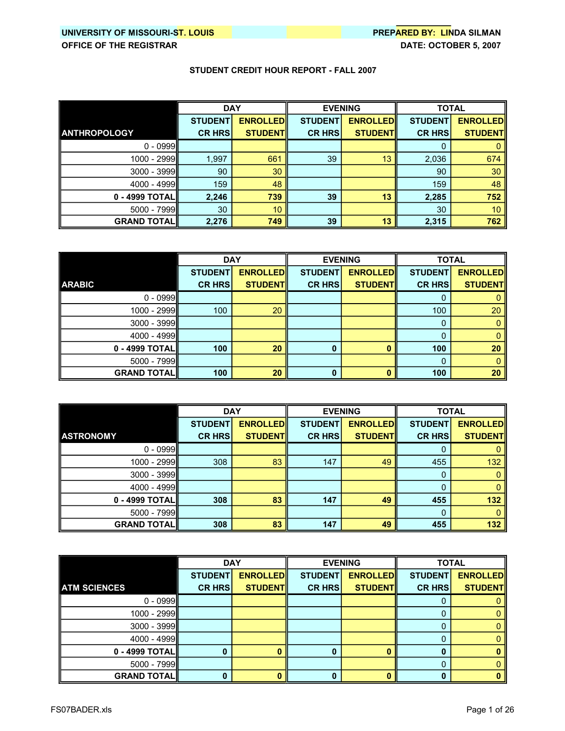|                     | <b>DAY</b>     |                 | <b>EVENING</b> |                 | <b>TOTAL</b>   |                 |
|---------------------|----------------|-----------------|----------------|-----------------|----------------|-----------------|
|                     | <b>STUDENT</b> | <b>ENROLLED</b> | <b>STUDENT</b> | <b>ENROLLED</b> | <b>STUDENT</b> | <b>ENROLLED</b> |
| <b>ANTHROPOLOGY</b> | <b>CR HRS</b>  | <b>STUDENT</b>  | <b>CR HRS</b>  | <b>STUDENT</b>  | <b>CR HRS</b>  | <b>STUDENT</b>  |
| $0 - 0999$          |                |                 |                |                 | 0              |                 |
| 1000 - 2999         | 1,997          | 661             | 39             | 13              | 2,036          | 674             |
| 3000 - 3999         | 90             | 30              |                |                 | 90             | 30              |
| 4000 - 4999         | 159            | 48              |                |                 | 159            | 48              |
| 0 - 4999 TOTALI     | 2,246          | 739             | 39             | 13              | 2,285          | 752             |
| 5000 - 7999         | 30             | 10 <sup>°</sup> |                |                 | 30             | 10              |
| <b>GRAND TOTAL</b>  | 2,276          | 749             | 39             | 13              | 2,315          | 762             |

|                    | <b>DAY</b>     |                 | <b>EVENING</b> |                 | <b>TOTAL</b>   |                 |
|--------------------|----------------|-----------------|----------------|-----------------|----------------|-----------------|
|                    | <b>STUDENT</b> | <b>ENROLLED</b> | <b>STUDENT</b> | <b>ENROLLED</b> | <b>STUDENT</b> | <b>ENROLLED</b> |
| <b>ARABIC</b>      | <b>CR HRS</b>  | <b>STUDENT</b>  | <b>CR HRS</b>  | <b>STUDENT</b>  | <b>CR HRS</b>  | <b>STUDENT</b>  |
| $0 - 0999$         |                |                 |                |                 |                |                 |
| 1000 - 2999        | 100            | 20              |                |                 | 100            | 20              |
| $3000 - 3999$      |                |                 |                |                 | 0              |                 |
| 4000 - 4999        |                |                 |                |                 | 0              |                 |
| 0 - 4999 TOTAL     | 100            | 20              | $\bf{0}$       |                 | 100            | 20              |
| 5000 - 7999        |                |                 |                |                 | 0              |                 |
| <b>GRAND TOTAL</b> | 100            | 20              | $\bf{0}$       |                 | 100            | 20              |

|                    | <b>DAY</b>     |                 | <b>EVENING</b> |                 | <b>TOTAL</b>   |                 |
|--------------------|----------------|-----------------|----------------|-----------------|----------------|-----------------|
|                    | <b>STUDENT</b> | <b>ENROLLED</b> | <b>STUDENT</b> | <b>ENROLLED</b> | <b>STUDENT</b> | <b>ENROLLED</b> |
| <b>ASTRONOMY</b>   | <b>CR HRS</b>  | <b>STUDENTI</b> | <b>CR HRS</b>  | <b>STUDENT</b>  | <b>CR HRS</b>  | <b>STUDENT</b>  |
| $0 - 0999$         |                |                 |                |                 | 0              |                 |
| 1000 - 2999        | 308            | 83              | 147            | 49              | 455            | 132             |
| 3000 - 3999        |                |                 |                |                 | 0              |                 |
| 4000 - 4999        |                |                 |                |                 | 0              |                 |
| 0 - 4999 TOTALI    | 308            | 83              | 147            | 49              | 455            | 132             |
| 5000 - 7999        |                |                 |                |                 | 0              |                 |
| <b>GRAND TOTAL</b> | 308            | 83              | 147            | 49              | 455            | 132             |

|                      | <b>DAY</b>     |                 | <b>EVENING</b> |                 | <b>TOTAL</b>   |                 |
|----------------------|----------------|-----------------|----------------|-----------------|----------------|-----------------|
|                      | <b>STUDENT</b> | <b>ENROLLED</b> | <b>STUDENT</b> | <b>ENROLLED</b> | <b>STUDENT</b> | <b>ENROLLED</b> |
| <b>ATM SCIENCES</b>  | <b>CR HRS</b>  | <b>STUDENT</b>  | <b>CR HRS</b>  | <b>STUDENT</b>  | <b>CR HRS</b>  | <b>STUDENT</b>  |
| $0 - 0999$           |                |                 |                |                 |                |                 |
| 1000 - 2999          |                |                 |                |                 |                |                 |
| $3000 - 3999$        |                |                 |                |                 |                |                 |
| $4000 - 4999$        |                |                 |                |                 |                |                 |
| 0 - 4999 TOTAL       |                |                 |                |                 | 0              |                 |
| $5000 - 7999$        |                |                 |                |                 | 0              |                 |
| <b>GRAND TOTAL  </b> |                |                 |                |                 | 0              |                 |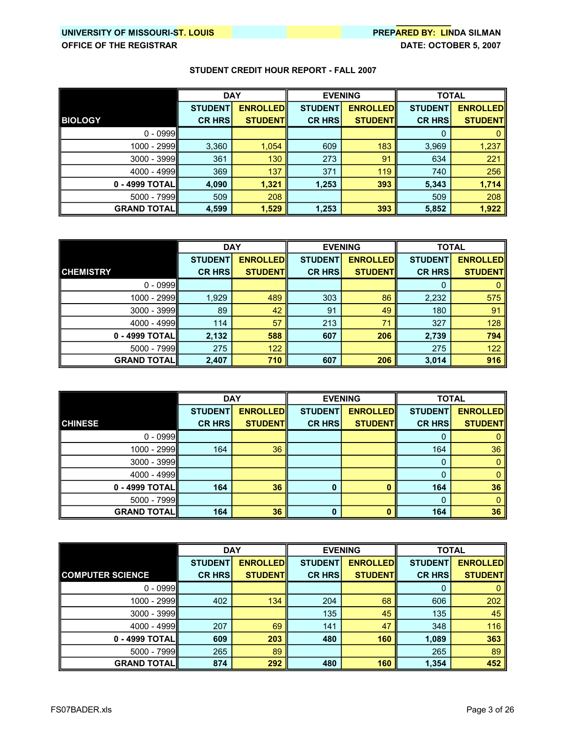|                    | <b>DAY</b>     |                 | <b>EVENING</b> |                 | <b>TOTAL</b>   |                 |
|--------------------|----------------|-----------------|----------------|-----------------|----------------|-----------------|
|                    | <b>STUDENT</b> | <b>ENROLLED</b> | <b>STUDENT</b> | <b>ENROLLED</b> | <b>STUDENT</b> | <b>ENROLLED</b> |
| <b>BIOLOGY</b>     | <b>CR HRS</b>  | <b>STUDENTI</b> | <b>CR HRS</b>  | <b>STUDENTI</b> | <b>CR HRS</b>  | <b>STUDENT</b>  |
| $0 - 0999$         |                |                 |                |                 | 0              |                 |
| 1000 - 2999        | 3,360          | 1,054           | 609            | 183             | 3,969          | 1,237           |
| $3000 - 3999$      | 361            | 130             | 273            | 91              | 634            | 221             |
| 4000 - 4999        | 369            | 137             | 371            | 119             | 740            | 256             |
| 0 - 4999 TOTALI    | 4,090          | 1,321           | 1,253          | 393             | 5,343          | 1,714           |
| $5000 - 7999$      | 509            | 208             |                |                 | 509            | 208             |
| <b>GRAND TOTAL</b> | 4,599          | 1,529           | 1,253          | 393             | 5,852          | 1,922           |

|                      | <b>DAY</b>     |                  | <b>EVENING</b> |                 | <b>TOTAL</b>   |                 |
|----------------------|----------------|------------------|----------------|-----------------|----------------|-----------------|
|                      | <b>STUDENT</b> | <b>ENROLLEDI</b> | <b>STUDENT</b> | <b>ENROLLED</b> | <b>STUDENT</b> | <b>ENROLLED</b> |
| <b>CHEMISTRY</b>     | <b>CR HRS</b>  | <b>STUDENTI</b>  | <b>CR HRS</b>  | <b>STUDENT</b>  | <b>CR HRS</b>  | <b>STUDENT</b>  |
| $0 - 0999$           |                |                  |                |                 | 0              |                 |
| 1000 - 2999          | 1,929          | 489              | 303            | 86              | 2,232          | 575             |
| $3000 - 3999$        | 89             | 42               | 91             | 49              | 180            | 91              |
| 4000 - 4999          | 114            | 57               | 213            | 71              | 327            | 128             |
| $0 - 4999$ TOTAL     | 2,132          | 588              | 607            | 206             | 2,739          | 794             |
| $5000 - 7999$        | 275            | 122              |                |                 | 275            | 122             |
| <b>GRAND TOTAL  </b> | 2,407          | 710              | 607            | 206             | 3,014          | 916             |

|                     | <b>DAY</b>     |                 | <b>EVENING</b> |                 | <b>TOTAL</b>   |                 |
|---------------------|----------------|-----------------|----------------|-----------------|----------------|-----------------|
|                     | <b>STUDENT</b> | <b>ENROLLED</b> | <b>STUDENT</b> | <b>ENROLLED</b> | <b>STUDENT</b> | <b>ENROLLED</b> |
| <b>CHINESE</b>      | <b>CR HRS</b>  | <b>STUDENT</b>  | <b>CR HRS</b>  | <b>STUDENT</b>  | <b>CR HRS</b>  | <b>STUDENT</b>  |
| $0 - 0999$          |                |                 |                |                 | Ü              |                 |
| 1000 - 2999         | 164            | 36              |                |                 | 164            | 36              |
| $3000 - 3999$       |                |                 |                |                 | 0              |                 |
| 4000 - 4999         |                |                 |                |                 |                |                 |
| 0 - 4999 TOTAL      | 164            | 36              | $\Omega$       |                 | 164            | 36              |
| 5000 - 7999         |                |                 |                |                 | 0              |                 |
| <b>GRAND TOTALI</b> | 164            | 36              |                |                 | 164            | 36              |

|                         | <b>DAY</b>     |                 | <b>EVENING</b> |                 | <b>TOTAL</b>   |                  |
|-------------------------|----------------|-----------------|----------------|-----------------|----------------|------------------|
|                         | <b>STUDENT</b> | <b>ENROLLED</b> | <b>STUDENT</b> | <b>ENROLLED</b> | <b>STUDENT</b> | <b>ENROLLEDI</b> |
| <b>COMPUTER SCIENCE</b> | <b>CR HRS</b>  | <b>STUDENTI</b> | <b>CR HRS</b>  | <b>STUDENT</b>  | <b>CR HRS</b>  | <b>STUDENT</b>   |
| $0 - 0999$              |                |                 |                |                 | 0              |                  |
| 1000 - 2999             | 402            | 134             | 204            | 68              | 606            | 202              |
| $3000 - 3999$           |                |                 | 135            | 45              | 135            | 45               |
| $4000 - 4999$           | 207            | 69              | 141            | 47              | 348            | 116              |
| 0 - 4999 TOTALI         | 609            | 203             | 480            | 160             | 1,089          | 363              |
| 5000 - 7999             | 265            | 89              |                |                 | 265            | 89               |
| <b>GRAND TOTAL</b>      | 874            | 292             | 480            | 160             | 1,354          | 452              |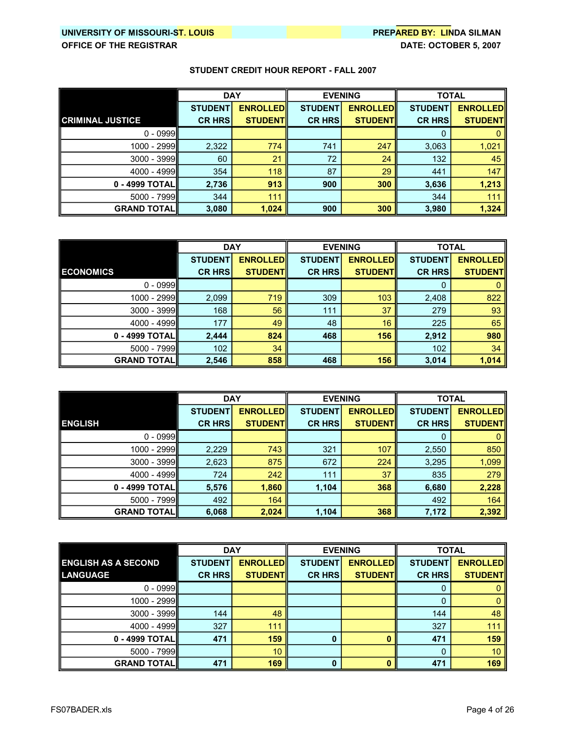|                         | <b>DAY</b>     |                 | <b>EVENING</b> |                  | <b>TOTAL</b>   |                  |
|-------------------------|----------------|-----------------|----------------|------------------|----------------|------------------|
|                         | <b>STUDENT</b> | <b>ENROLLED</b> | <b>STUDENT</b> | <b>ENROLLEDI</b> | <b>STUDENT</b> | <b>ENROLLEDI</b> |
| <b>CRIMINAL JUSTICE</b> | <b>CR HRS</b>  | <b>STUDENTI</b> | <b>CR HRS</b>  | <b>STUDENTI</b>  | <b>CR HRS</b>  | <b>STUDENT</b>   |
| $0 - 0999$              |                |                 |                |                  | 0              |                  |
| 1000 - 2999             | 2,322          | 774             | 741            | 247              | 3,063          | 1,021            |
| $3000 - 3999$           | 60             | 21              | 72             | 24               | 132            | 45               |
| 4000 - 4999             | 354            | 118             | 87             | 29               | 441            | 147              |
| 0 - 4999 TOTALI         | 2,736          | 913             | 900            | 300              | 3,636          | 1,213            |
| 5000 - 7999             | 344            | 111             |                |                  | 344            | 111              |
| <b>GRAND TOTAL</b>      | 3,080          | 1,024           | 900            | 300              | 3,980          | 1,324            |

|                      | <b>DAY</b>     |                 | <b>EVENING</b> |                 | <b>TOTAL</b>   |                 |
|----------------------|----------------|-----------------|----------------|-----------------|----------------|-----------------|
|                      | <b>STUDENT</b> | <b>ENROLLED</b> | <b>STUDENT</b> | <b>ENROLLED</b> | <b>STUDENT</b> | <b>ENROLLED</b> |
| <b>ECONOMICS</b>     | <b>CR HRS</b>  | <b>STUDENTI</b> | <b>CR HRS</b>  | <b>STUDENT</b>  | <b>CR HRS</b>  | <b>STUDENT</b>  |
| $0 - 0999$           |                |                 |                |                 | 0              |                 |
| 1000 - 2999          | 2,099          | 719             | 309            | 103             | 2,408          | 822             |
| $3000 - 3999$        | 168            | 56              | 111            | 37              | 279            | 93              |
| 4000 - 4999          | 177            | 49              | 48             | 16              | 225            | 65              |
| 0 - 4999 TOTAL       | 2,444          | 824             | 468            | 156             | 2,912          | 980             |
| $5000 - 7999$        | 102            | 34              |                |                 | 102            | 34              |
| <b>GRAND TOTAL  </b> | 2,546          | 858             | 468            | 156             | 3,014          | 1,014           |

|                     | <b>DAY</b>     |                 | <b>EVENING</b> |                 | <b>TOTAL</b>   |                  |
|---------------------|----------------|-----------------|----------------|-----------------|----------------|------------------|
|                     | <b>STUDENT</b> | <b>ENROLLED</b> | <b>STUDENT</b> | <b>ENROLLED</b> | <b>STUDENT</b> | <b>ENROLLEDI</b> |
| <b>ENGLISH</b>      | <b>CR HRS</b>  | <b>STUDENTI</b> | <b>CR HRS</b>  | <b>STUDENT</b>  | <b>CR HRS</b>  | <b>STUDENT</b>   |
| $0 - 0999$          |                |                 |                |                 | 0              |                  |
| 1000 - 2999         | 2,229          | 743             | 321            | 107             | 2,550          | 850              |
| $3000 - 3999$       | 2,623          | 875             | 672            | 224             | 3,295          | 1,099            |
| $4000 - 4999$       | 724            | 242             | 111            | 37              | 835            | 279              |
| 0 - 4999 TOTALII    | 5,576          | 1,860           | 1,104          | 368             | 6,680          | 2,228            |
| $5000 - 7999$       | 492            | 164             |                |                 | 492            | 164              |
| <b>GRAND TOTALI</b> | 6,068          | 2,024           | 1,104          | 368             | 7,172          | 2,392            |

|                            | <b>DAY</b>     |                 | <b>EVENING</b> |                 | <b>TOTAL</b>   |                 |
|----------------------------|----------------|-----------------|----------------|-----------------|----------------|-----------------|
| <b>ENGLISH AS A SECOND</b> | <b>STUDENT</b> | <b>ENROLLED</b> | <b>STUDENT</b> | <b>ENROLLED</b> | <b>STUDENT</b> | <b>ENROLLED</b> |
| <b>LANGUAGE</b>            | <b>CR HRS</b>  | <b>STUDENTI</b> | <b>CR HRS</b>  | <b>STUDENT</b>  | <b>CR HRS</b>  | <b>STUDENT</b>  |
| $0 - 0999$                 |                |                 |                |                 | O              |                 |
| 1000 - 2999                |                |                 |                |                 | 0              |                 |
| $3000 - 3999$              | 144            | 48              |                |                 | 144            | 48              |
| 4000 - 4999                | 327            | 111             |                |                 | 327            | 111             |
| 0 - 4999 TOTALII           | 471            | 159             |                |                 | 471            | 159             |
| $5000 - 7999$              |                | 10 <sup>°</sup> |                |                 | 0              | 10 <sup>1</sup> |
| <b>GRAND TOTALI</b>        | 471            | 169             |                |                 | 471            | 169             |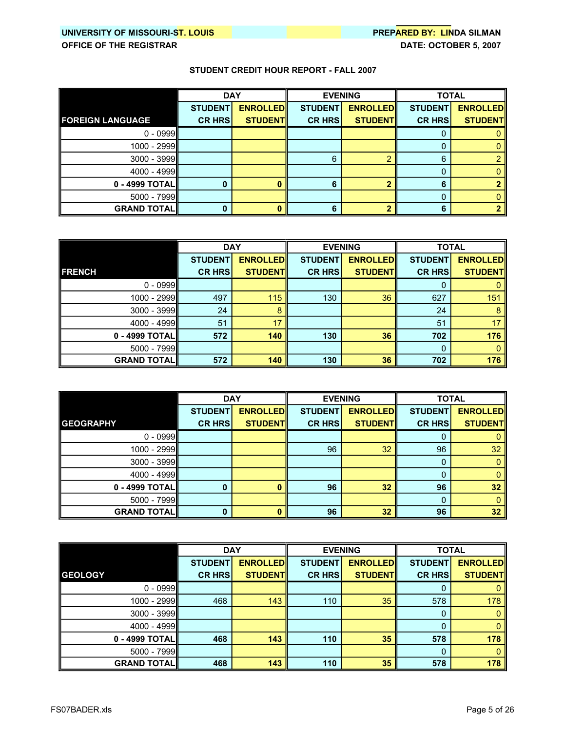|                         | <b>DAY</b>     |                 |                | <b>EVENING</b>  |                | <b>TOTAL</b>    |
|-------------------------|----------------|-----------------|----------------|-----------------|----------------|-----------------|
|                         | <b>STUDENT</b> | <b>ENROLLED</b> | <b>STUDENT</b> | <b>ENROLLED</b> | <b>STUDENT</b> | <b>ENROLLED</b> |
| <b>FOREIGN LANGUAGE</b> | <b>CR HRS</b>  | <b>STUDENTI</b> | <b>CR HRS</b>  | <b>STUDENTI</b> | <b>CR HRS</b>  | <b>STUDENT</b>  |
| $0 - 0999$              |                |                 |                |                 | υ              |                 |
| 1000 - 2999             |                |                 |                |                 |                |                 |
| $3000 - 3999$           |                |                 | 6              |                 | 6              |                 |
| 4000 - 4999             |                |                 |                |                 | 0              |                 |
| 0 - 4999 TOTAL          |                |                 | ĥ              |                 | 6              |                 |
| 5000 - 7999             |                |                 |                |                 | 0              |                 |
| <b>GRAND TOTAL</b>      | O              |                 | 6              |                 | 6              |                 |

|                     | <b>DAY</b>     |                 | <b>EVENING</b> |                 | <b>TOTAL</b>   |                 |
|---------------------|----------------|-----------------|----------------|-----------------|----------------|-----------------|
|                     | <b>STUDENT</b> | <b>ENROLLED</b> | <b>STUDENT</b> | <b>ENROLLED</b> | <b>STUDENT</b> | <b>ENROLLED</b> |
| <b>FRENCH</b>       | <b>CR HRS</b>  | <b>STUDENT</b>  | <b>CR HRS</b>  | <b>STUDENT</b>  | <b>CR HRS</b>  | <b>STUDENT</b>  |
| $0 - 0999$          |                |                 |                |                 | 0              |                 |
| 1000 - 2999         | 497            | 115             | 130            | 36              | 627            | 151             |
| 3000 - 3999         | 24             | 8               |                |                 | 24             | 8               |
| 4000 - 4999         | 51             | 17              |                |                 | 51             | 17              |
| 0 - 4999 TOTAL      | 572            | 140             | 130            | 36              | 702            | 176             |
| $5000 - 7999$       |                |                 |                |                 | 0              |                 |
| <b>GRAND TOTALI</b> | 572            | 140             | 130            | 36              | 702            | 176             |

|                      | <b>DAY</b>     |                 |                | <b>EVENING</b>  | <b>TOTAL</b>   |                 |
|----------------------|----------------|-----------------|----------------|-----------------|----------------|-----------------|
|                      | <b>STUDENT</b> | <b>ENROLLED</b> | <b>STUDENT</b> | <b>ENROLLED</b> | <b>STUDENT</b> | <b>ENROLLED</b> |
| <b>GEOGRAPHY</b>     | <b>CR HRS</b>  | <b>STUDENT</b>  | <b>CR HRS</b>  | <b>STUDENT</b>  | <b>CR HRS</b>  | <b>STUDENT</b>  |
| $0 - 0999$           |                |                 |                |                 | Ü              |                 |
| 1000 - 2999          |                |                 | 96             | 32              | 96             | 32              |
| $3000 - 3999$        |                |                 |                |                 | 0              |                 |
| 4000 - 4999          |                |                 |                |                 | 0              |                 |
| 0 - 4999 TOTAL       | 0              |                 | 96             | 32              | 96             | 32              |
| $5000 - 7999$        |                |                 |                |                 | 0              |                 |
| <b>GRAND TOTAL  </b> | 0              |                 | 96             | 32              | 96             | 32              |

|                      | <b>DAY</b>     |                 | <b>EVENING</b> |                 | <b>TOTAL</b>   |                 |
|----------------------|----------------|-----------------|----------------|-----------------|----------------|-----------------|
|                      | <b>STUDENT</b> | <b>ENROLLED</b> | <b>STUDENT</b> | <b>ENROLLED</b> | <b>STUDENT</b> | <b>ENROLLED</b> |
| <b>GEOLOGY</b>       | <b>CR HRS</b>  | <b>STUDENTI</b> | <b>CR HRS</b>  | <b>STUDENT</b>  | <b>CR HRS</b>  | <b>STUDENT</b>  |
| $0 - 0999$           |                |                 |                |                 | 0              |                 |
| 1000 - 2999          | 468            | 143             | 110            | 35              | 578            | 178             |
| $3000 - 3999$        |                |                 |                |                 | 0              |                 |
| 4000 - 4999          |                |                 |                |                 | 0              |                 |
| 0 - 4999 TOTAL       | 468            | 143             | 110            | 35              | 578            | 178             |
| $5000 - 7999$        |                |                 |                |                 | 0              |                 |
| <b>GRAND TOTAL  </b> | 468            | 143             | 110            | 35              | 578            | 178             |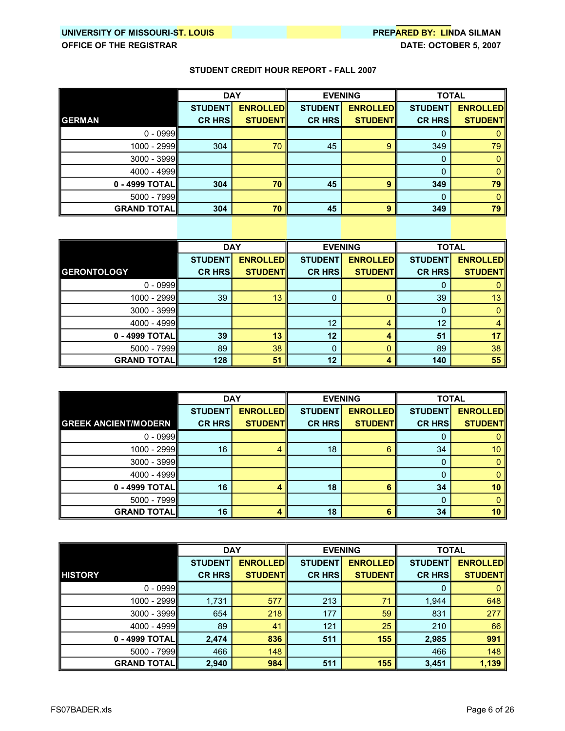|                    | <b>DAY</b>     |                 | <b>EVENING</b> |                 | <b>TOTAL</b>   |                 |
|--------------------|----------------|-----------------|----------------|-----------------|----------------|-----------------|
|                    | <b>STUDENT</b> | <b>ENROLLED</b> | <b>STUDENT</b> | <b>ENROLLED</b> | <b>STUDENT</b> | <b>ENROLLED</b> |
| <b>GERMAN</b>      | <b>CR HRS</b>  | <b>STUDENT</b>  | <b>CR HRS</b>  | <b>STUDENT</b>  | <b>CR HRS</b>  | <b>STUDENT</b>  |
| $0 - 0999$         |                |                 |                |                 |                |                 |
| 1000 - 2999        | 304            | 70              | 45             | 9               | 349            | 79              |
| $3000 - 3999$      |                |                 |                |                 | 0              |                 |
| 4000 - 4999        |                |                 |                |                 | 0              |                 |
| $0 - 4999$ TOTAL   | 304            | 70              | 45             | 9               | 349            | 79              |
| 5000 - 7999        |                |                 |                |                 | 0              |                 |
| <b>GRAND TOTAL</b> | 304            | 70              | 45             | 9               | 349            | 79              |

|                      | <b>DAY</b>     |                 | <b>EVENING</b> |                 | <b>TOTAL</b>   |                 |
|----------------------|----------------|-----------------|----------------|-----------------|----------------|-----------------|
|                      | <b>STUDENT</b> | <b>ENROLLED</b> | <b>STUDENT</b> | <b>ENROLLED</b> | <b>STUDENT</b> | <b>ENROLLED</b> |
| <b>GERONTOLOGY</b>   | <b>CR HRS</b>  | <b>STUDENT</b>  | <b>CR HRS</b>  | <b>STUDENT</b>  | <b>CR HRS</b>  | <b>STUDENT</b>  |
| $0 - 0999$           |                |                 |                |                 | U              |                 |
| 1000 - 2999          | 39             | 13              |                |                 | 39             | 13              |
| $3000 - 3999$        |                |                 |                |                 | 0              |                 |
| 4000 - 4999          |                |                 | 12             |                 | 12             |                 |
| 0 - 4999 TOTAL       | 39             | 13              | 12             |                 | 51             | 17              |
| 5000 - 7999          | 89             | 38              | $\Omega$       |                 | 89             | 38              |
| <b>GRAND TOTAL  </b> | 128            | 51              | 12             |                 | 140            | 55              |

|                             | <b>DAY</b>     |                 |                | <b>EVENING</b>  |                | <b>TOTAL</b>    |
|-----------------------------|----------------|-----------------|----------------|-----------------|----------------|-----------------|
|                             | <b>STUDENT</b> | <b>ENROLLED</b> | <b>STUDENT</b> | <b>ENROLLED</b> | <b>STUDENT</b> | <b>ENROLLED</b> |
| <b>GREEK ANCIENT/MODERN</b> | <b>CR HRS</b>  | <b>STUDENT</b>  | <b>CR HRS</b>  | <b>STUDENT</b>  | <b>CR HRS</b>  | <b>STUDENT</b>  |
| $0 - 0999$                  |                |                 |                |                 | U              |                 |
| 1000 - 2999                 | 16             |                 | 18             | 6               | 34             | 10              |
| $3000 - 3999$               |                |                 |                |                 | 0              |                 |
| $4000 - 4999$               |                |                 |                |                 |                |                 |
| 0 - 4999 TOTAL              | 16             |                 | 18             |                 | 34             | 10              |
| $5000 - 7999$               |                |                 |                |                 | $\mathbf{0}$   |                 |
| <b>GRAND TOTAL</b>          | 16             |                 | 18             | Б               | 34             | 10              |

|                     | <b>DAY</b>     |                 | <b>EVENING</b> |                 | <b>TOTAL</b>   |                 |
|---------------------|----------------|-----------------|----------------|-----------------|----------------|-----------------|
|                     | <b>STUDENT</b> | <b>ENROLLED</b> | <b>STUDENT</b> | <b>ENROLLED</b> | <b>STUDENT</b> | <b>ENROLLED</b> |
| <b>HISTORY</b>      | <b>CR HRS</b>  | <b>STUDENTI</b> | <b>CR HRS</b>  | <b>STUDENT</b>  | <b>CR HRS</b>  | <b>STUDENT</b>  |
| $0 - 0999$          |                |                 |                |                 | 0              |                 |
| 1000 - 2999         | 1,731          | 577             | 213            | 71              | 1,944          | 648             |
| $3000 - 3999$       | 654            | 218             | 177            | 59              | 831            | 277             |
| $4000 - 4999$       | 89             | 41              | 121            | 25              | 210            | 66              |
| 0 - 4999 TOTALII    | 2,474          | 836             | 511            | 155             | 2,985          | 991             |
| 5000 - 7999         | 466            | 148             |                |                 | 466            | 148             |
| <b>GRAND TOTALI</b> | 2,940          | 984             | 511            | 155             | 3,451          | 1,139           |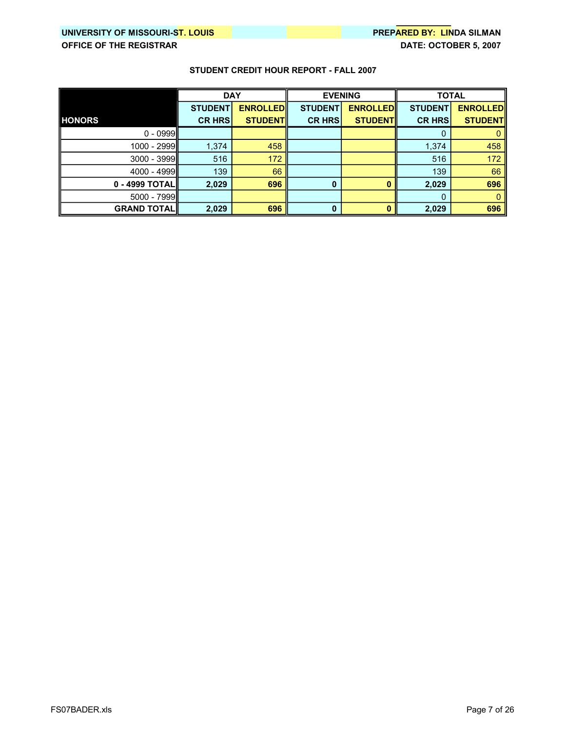|                      | <b>DAY</b>     |                 | <b>EVENING</b> |                 | <b>TOTAL</b>   |                 |
|----------------------|----------------|-----------------|----------------|-----------------|----------------|-----------------|
|                      | <b>STUDENT</b> | <b>ENROLLED</b> | <b>STUDENT</b> | <b>ENROLLED</b> | <b>STUDENT</b> | <b>ENROLLED</b> |
| <b>HONORS</b>        | <b>CR HRS</b>  | <b>STUDENT</b>  | <b>CR HRS</b>  | <b>STUDENT</b>  | <b>CR HRS</b>  | <b>STUDENT</b>  |
| $0 - 0999$           |                |                 |                |                 | 0              |                 |
| 1000 - 2999          | 1,374          | 458             |                |                 | 1,374          | 458             |
| $3000 - 3999$        | 516            | 172             |                |                 | 516            | 172             |
| $4000 - 4999$        | 139            | 66              |                |                 | 139            | 66              |
| $0 - 4999$ TOTAL     | 2,029          | 696             | 0              |                 | 2,029          | 696             |
| $5000 - 7999$        |                |                 |                |                 | 0              |                 |
| <b>GRAND TOTAL  </b> | 2,029          | 696             | 0              |                 | 2,029          | 696             |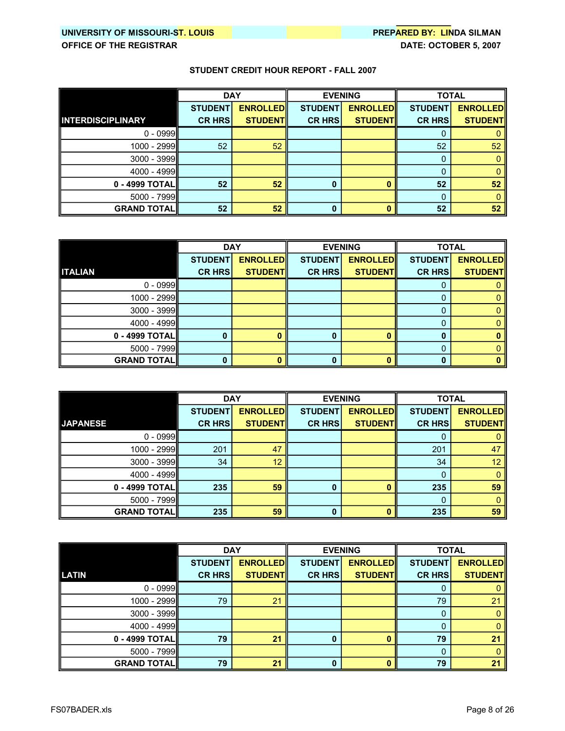|                          | <b>DAY</b>     |                 |                | <b>EVENING</b>  |                | <b>TOTAL</b>    |
|--------------------------|----------------|-----------------|----------------|-----------------|----------------|-----------------|
|                          | <b>STUDENT</b> | <b>ENROLLED</b> | <b>STUDENT</b> | <b>ENROLLED</b> | <b>STUDENT</b> | <b>ENROLLED</b> |
| <b>INTERDISCIPLINARY</b> | <b>CR HRS</b>  | <b>STUDENT</b>  | <b>CR HRSI</b> | <b>STUDENT</b>  | <b>CR HRS</b>  | <b>STUDENT</b>  |
| $0 - 0999$               |                |                 |                |                 | 0              |                 |
| 1000 - 2999              | 52             | 52              |                |                 | 52             | 52              |
| $3000 - 3999$            |                |                 |                |                 | 0              |                 |
| 4000 - 4999              |                |                 |                |                 | 0              |                 |
| 0 - 4999 TOTAL           | 52             | 52              |                |                 | 52             | 52              |
| 5000 - 7999              |                |                 |                |                 | 0              |                 |
| <b>GRAND TOTALI</b>      | 52             | 52              | 0              |                 | 52             | 52              |

|                    | <b>DAY</b>     |                 | <b>EVENING</b> |                 | <b>TOTAL</b>   |                 |
|--------------------|----------------|-----------------|----------------|-----------------|----------------|-----------------|
|                    | <b>STUDENT</b> | <b>ENROLLED</b> | <b>STUDENT</b> | <b>ENROLLED</b> | <b>STUDENT</b> | <b>ENROLLED</b> |
| <b>ITALIAN</b>     | <b>CR HRS</b>  | <b>STUDENT</b>  | <b>CR HRS</b>  | <b>STUDENT</b>  | <b>CR HRS</b>  | <b>STUDENT</b>  |
| $0 - 0999$         |                |                 |                |                 | O              |                 |
| $1000 - 2999$      |                |                 |                |                 | 0              |                 |
| $3000 - 3999$      |                |                 |                |                 | 0              |                 |
| 4000 - 4999        |                |                 |                |                 |                |                 |
| 0 - 4999 TOTAL     | 0              |                 |                |                 |                |                 |
| $5000 - 7999$      |                |                 |                |                 | 0              |                 |
| <b>GRAND TOTAL</b> | 0              |                 |                |                 |                |                 |

|                     | <b>DAY</b>     |                 | <b>EVENING</b> |                 | <b>TOTAL</b>   |                 |
|---------------------|----------------|-----------------|----------------|-----------------|----------------|-----------------|
|                     | <b>STUDENT</b> | <b>ENROLLED</b> | <b>STUDENT</b> | <b>ENROLLED</b> | <b>STUDENT</b> | <b>ENROLLED</b> |
| <b>JAPANESE</b>     | <b>CR HRS</b>  | <b>STUDENTI</b> | <b>CR HRS</b>  | <b>STUDENT</b>  | <b>CR HRS</b>  | <b>STUDENT</b>  |
| $0 - 0999$          |                |                 |                |                 |                |                 |
| 1000 - 2999         | 201            | 47              |                |                 | 201            | 47              |
| $3000 - 3999$       | 34             | 12              |                |                 | 34             | 12              |
| 4000 - 4999         |                |                 |                |                 | 0              |                 |
| 0 - 4999 TOTAL      | 235            | 59              |                |                 | 235            | 59              |
| $5000 - 7999$       |                |                 |                |                 | 0              |                 |
| <b>GRAND TOTALI</b> | 235            | 59              | n              |                 | 235            | 59              |

|                    | <b>DAY</b>     |                 |                | <b>EVENING</b>  | <b>TOTAL</b>   |                 |
|--------------------|----------------|-----------------|----------------|-----------------|----------------|-----------------|
|                    | <b>STUDENT</b> | <b>ENROLLED</b> | <b>STUDENT</b> | <b>ENROLLED</b> | <b>STUDENT</b> | <b>ENROLLED</b> |
| <b>LATIN</b>       | <b>CR HRS</b>  | <b>STUDENT</b>  | <b>CR HRS</b>  | <b>STUDENT</b>  | <b>CR HRS</b>  | <b>STUDENT</b>  |
| $0 - 0999$         |                |                 |                |                 | O              |                 |
| $1000 - 2999$      | 79             | 21              |                |                 | 79             | 21              |
| $3000 - 3999$      |                |                 |                |                 | 0              |                 |
| 4000 - 4999        |                |                 |                |                 |                |                 |
| 0 - 4999 TOTAL     | 79             | 21              |                |                 | 79             | 21              |
| 5000 - 7999        |                |                 |                |                 | 0              |                 |
| <b>GRAND TOTAL</b> | 79             | 21              |                |                 | 79             | 21              |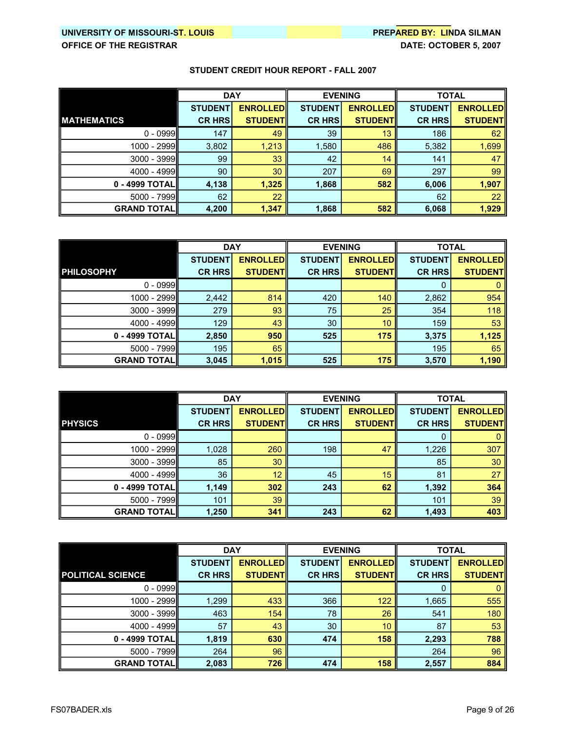|                    | <b>DAY</b>     |                 | <b>EVENING</b> |                 | <b>TOTAL</b>   |                 |
|--------------------|----------------|-----------------|----------------|-----------------|----------------|-----------------|
|                    | <b>STUDENT</b> | <b>ENROLLED</b> | <b>STUDENT</b> | <b>ENROLLED</b> | <b>STUDENT</b> | <b>ENROLLED</b> |
| <b>MATHEMATICS</b> | <b>CR HRS</b>  | <b>STUDENT</b>  | <b>CR HRS</b>  | <b>STUDENTI</b> | <b>CR HRS</b>  | <b>STUDENT</b>  |
| $0 - 0999$         | 147            | 49              | 39             | 13              | 186            | 62              |
| 1000 - 2999        | 3,802          | 1,213           | 1,580          | 486             | 5,382          | 1,699           |
| $3000 - 3999$      | 99             | 33              | 42             | 14              | 141            | 47              |
| 4000 - 4999        | 90             | 30              | 207            | 69              | 297            | 99              |
| 0 - 4999 TOTALI    | 4,138          | 1,325           | 1,868          | 582             | 6,006          | 1,907           |
| 5000 - 7999        | 62             | 22              |                |                 | 62             | 22              |
| <b>GRAND TOTAL</b> | 4,200          | 1,347           | 1,868          | 582             | 6,068          | 1,929           |

|                     | <b>DAY</b>     |                 | <b>EVENING</b> |                 | <b>TOTAL</b>   |                 |
|---------------------|----------------|-----------------|----------------|-----------------|----------------|-----------------|
|                     | <b>STUDENT</b> | <b>ENROLLED</b> | <b>STUDENT</b> | <b>ENROLLED</b> | <b>STUDENT</b> | <b>ENROLLED</b> |
| <b>PHILOSOPHY</b>   | <b>CR HRS</b>  | <b>STUDENT</b>  | <b>CR HRS</b>  | <b>STUDENT</b>  | <b>CR HRS</b>  | <b>STUDENT</b>  |
| $0 - 0999$          |                |                 |                |                 | 0              |                 |
| 1000 - 2999         | 2,442          | 814             | 420            | 140             | 2,862          | 954             |
| 3000 - 3999         | 279            | 93              | 75             | 25              | 354            | 118             |
| 4000 - 4999         | 129            | 43              | 30             | 10              | 159            | 53              |
| 0 - 4999 TOTAL      | 2,850          | 950             | 525            | 175             | 3,375          | 1,125           |
| $5000 - 7999$       | 195            | 65              |                |                 | 195            | 65              |
| <b>GRAND TOTALI</b> | 3,045          | 1,015           | 525            | 175             | 3,570          | 1,190           |

|                      | <b>DAY</b>     |                 | <b>EVENING</b> |                 | <b>TOTAL</b>   |                 |
|----------------------|----------------|-----------------|----------------|-----------------|----------------|-----------------|
|                      | <b>STUDENT</b> | <b>ENROLLED</b> | <b>STUDENT</b> | <b>ENROLLED</b> | <b>STUDENT</b> | <b>ENROLLED</b> |
| <b>PHYSICS</b>       | <b>CR HRS</b>  | <b>STUDENTI</b> | <b>CR HRS</b>  | <b>STUDENT</b>  | <b>CR HRS</b>  | <b>STUDENT</b>  |
| $0 - 0999$           |                |                 |                |                 | 0              |                 |
| 1000 - 2999          | 1,028          | 260             | 198            | 47              | 1,226          | 307             |
| $3000 - 3999$        | 85             | 30              |                |                 | 85             | 30              |
| $4000 - 4999$        | 36             | 12              | 45             | 15              | 81             | 27              |
| 0 - 4999 TOTAL       | 1,149          | 302             | 243            | 62              | 1,392          | 364             |
| $5000 - 7999$        | 101            | 39              |                |                 | 101            | 39              |
| <b>GRAND TOTAL  </b> | 1,250          | 341             | 243            | 62              | 1,493          | 403             |

|                          | <b>DAY</b>     |                 | <b>EVENING</b> |                  | <b>TOTAL</b>   |                 |
|--------------------------|----------------|-----------------|----------------|------------------|----------------|-----------------|
|                          | <b>STUDENT</b> | <b>ENROLLED</b> | <b>STUDENT</b> | <b>ENROLLEDI</b> | <b>STUDENT</b> | <b>ENROLLED</b> |
| <b>POLITICAL SCIENCE</b> | <b>CR HRS</b>  | <b>STUDENTI</b> | <b>CR HRS</b>  | <b>STUDENT</b>   | <b>CR HRS</b>  | <b>STUDENT</b>  |
| $0 - 0999$               |                |                 |                |                  | 0              |                 |
| 1000 - 2999              | 1,299          | 433             | 366            | 122              | 1,665          | 555             |
| $3000 - 3999$            | 463            | 154             | 78             | 26               | 541            | 180             |
| $4000 - 4999$            | 57             | 43              | 30             | 10               | 87             | 53              |
| 0 - 4999 TOTALI          | 1,819          | 630             | 474            | 158              | 2,293          | 788             |
| $5000 - 7999$            | 264            | 96              |                |                  | 264            | 96              |
| <b>GRAND TOTALI</b>      | 2,083          | 726             | 474            | 158              | 2,557          | 884             |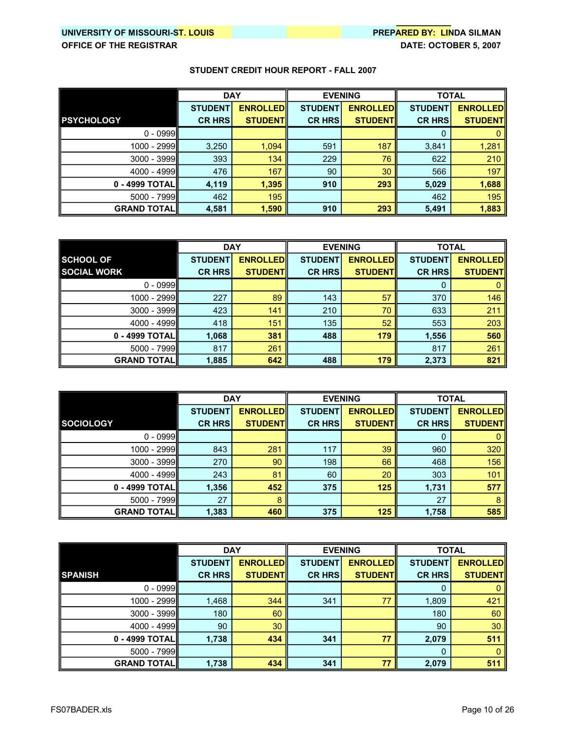|                    | <b>DAY</b>     |                 | <b>EVENING</b> |                  | <b>TOTAL</b>   |                  |
|--------------------|----------------|-----------------|----------------|------------------|----------------|------------------|
|                    | <b>STUDENT</b> | <b>ENROLLED</b> | <b>STUDENT</b> | <b>ENROLLEDI</b> | <b>STUDENT</b> | <b>ENROLLEDI</b> |
| <b>PSYCHOLOGY</b>  | <b>CR HRS</b>  | <b>STUDENTI</b> | <b>CR HRS</b>  | <b>STUDENTI</b>  | <b>CR HRS</b>  | <b>STUDENT</b>   |
| $0 - 0999$         |                |                 |                |                  | 0              |                  |
| 1000 - 2999        | 3,250          | 1,094           | 591            | 187              | 3,841          | 1,281            |
| 3000 - 3999        | 393            | 134             | 229            | 76               | 622            | 210              |
| 4000 - 4999        | 476            | 167             | 90             | 30               | 566            | 197              |
| 0 - 4999 TOTALI    | 4,119          | 1,395           | 910            | 293              | 5,029          | 1,688            |
| 5000 - 7999        | 462            | 195             |                |                  | 462            | 195              |
| <b>GRAND TOTAL</b> | 4,581          | 1,590           | 910            | 293              | 5,491          | 1,883            |

|                     | <b>DAY</b>     |                 | <b>EVENING</b> |                  | <b>TOTAL</b>   |                  |
|---------------------|----------------|-----------------|----------------|------------------|----------------|------------------|
| <b>SCHOOL OF</b>    | <b>STUDENT</b> | <b>ENROLLED</b> | <b>STUDENT</b> | <b>ENROLLEDI</b> | <b>STUDENT</b> | <b>ENROLLEDI</b> |
| <b>SOCIAL WORK</b>  | <b>CR HRS</b>  | <b>STUDENTI</b> | <b>CR HRS</b>  | <b>STUDENT</b>   | <b>CR HRS</b>  | <b>STUDENT</b>   |
| $0 - 0999$          |                |                 |                |                  | 0              |                  |
| 1000 - 2999         | 227            | 89              | 143            | 57               | 370            | 146              |
| $3000 - 3999$       | 423            | 141             | 210            | 70               | 633            | 211              |
| 4000 - 4999         | 418            | 151             | 135            | 52               | 553            | 203              |
| 0 - 4999 TOTAL      | 1,068          | 381             | 488            | 179              | 1,556          | 560              |
| $5000 - 7999$       | 817            | 261             |                |                  | 817            | 261              |
| <b>GRAND TOTALI</b> | 1,885          | 642             | 488            | 179              | 2,373          | 821              |

|                     | <b>DAY</b>     |                 | <b>EVENING</b> |                  | <b>TOTAL</b>   |                 |
|---------------------|----------------|-----------------|----------------|------------------|----------------|-----------------|
|                     | <b>STUDENT</b> | <b>ENROLLED</b> | <b>STUDENT</b> | <b>ENROLLEDI</b> | <b>STUDENT</b> | <b>ENROLLED</b> |
| <b>SOCIOLOGY</b>    | <b>CR HRS</b>  | <b>STUDENTI</b> | <b>CR HRS</b>  | <b>STUDENT</b>   | <b>CR HRS</b>  | <b>STUDENT</b>  |
| $0 - 0999$          |                |                 |                |                  | 0              |                 |
| 1000 - 2999         | 843            | 281             | 117            | 39               | 960            | 320             |
| $3000 - 3999$       | 270            | 90              | 198            | 66               | 468            | 156             |
| $4000 - 4999$       | 243            | 81              | 60             | 20               | 303            | 101             |
| 0 - 4999 TOTALII    | 1,356          | 452             | 375            | 125              | 1,731          | 577             |
| 5000 - 7999         | 27             | 8               |                |                  | 27             | 8               |
| <b>GRAND TOTALI</b> | 1,383          | 460             | 375            | 125              | 1,758          | 585             |

|                     | <b>DAY</b>     |                 | <b>EVENING</b> |                 | <b>TOTAL</b>   |                 |
|---------------------|----------------|-----------------|----------------|-----------------|----------------|-----------------|
|                     | <b>STUDENT</b> | <b>ENROLLED</b> | <b>STUDENT</b> | <b>ENROLLED</b> | <b>STUDENT</b> | <b>ENROLLED</b> |
| <b>SPANISH</b>      | <b>CR HRS</b>  | <b>STUDENTI</b> | <b>CR HRS</b>  | <b>STUDENTI</b> | <b>CR HRS</b>  | <b>STUDENT</b>  |
| $0 - 0999$          |                |                 |                |                 | 0              |                 |
| 1000 - 2999         | 1,468          | 344             | 341            | 77              | 1,809          | 421             |
| $3000 - 3999$       | 180            | 60              |                |                 | 180            | 60              |
| $4000 - 4999$       | 90             | 30              |                |                 | 90             | 30              |
| 0 - 4999 TOTALII    | 1,738          | 434             | 341            | 77              | 2,079          | 511             |
| $5000 - 7999$       |                |                 |                |                 | 0              |                 |
| <b>GRAND TOTALI</b> | 1,738          | 434             | 341            | 77              | 2,079          | 511             |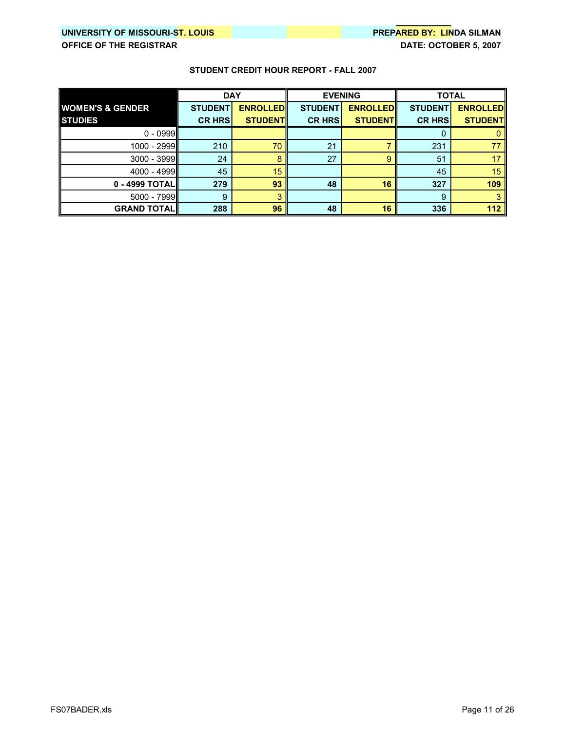|                             | <b>DAY</b>     |                 | <b>EVENING</b> |                 | <b>TOTAL</b>   |                 |
|-----------------------------|----------------|-----------------|----------------|-----------------|----------------|-----------------|
| <b>WOMEN'S &amp; GENDER</b> | <b>STUDENT</b> | <b>ENROLLED</b> | <b>STUDENT</b> | <b>ENROLLED</b> | <b>STUDENT</b> | <b>ENROLLED</b> |
| <b>STUDIES</b>              | <b>CR HRS</b>  | <b>STUDENTI</b> | <b>CR HRS</b>  | <b>STUDENT</b>  | <b>CR HRS</b>  | <b>STUDENT</b>  |
| $0 - 0999$                  |                |                 |                |                 |                |                 |
| 1000 - 2999                 | 210            | 70              | 21             |                 | 231            | 77              |
| $3000 - 3999$               | 24             |                 | 27             | 9               | 51             | 17              |
| $4000 - 4999$               | 45             | 15              |                |                 | 45             | 15              |
| 0 - 4999 TOTAL              | 279            | 93              | 48             | 16              | 327            | 109             |
| $5000 - 7999$               | 9              |                 |                |                 | 9              |                 |
| <b>GRAND TOTAL</b>          | 288            | 96              | 48             | 16              | 336            | 112             |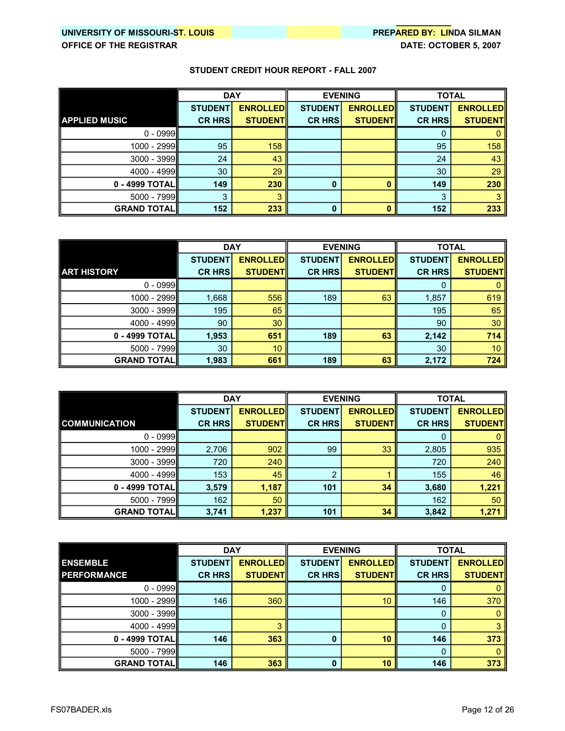|                      | <b>DAY</b>      |                 | <b>EVENING</b> |                 | <b>TOTAL</b>   |                 |
|----------------------|-----------------|-----------------|----------------|-----------------|----------------|-----------------|
|                      | <b>STUDENT</b>  | <b>ENROLLED</b> | <b>STUDENT</b> | <b>ENROLLED</b> | <b>STUDENT</b> | <b>ENROLLED</b> |
| <b>APPLIED MUSIC</b> | <b>CR HRS</b>   | <b>STUDENTI</b> | <b>CR HRS</b>  | <b>STUDENTI</b> | <b>CR HRS</b>  | <b>STUDENT</b>  |
| $0 - 0999$           |                 |                 |                |                 | 0              |                 |
| 1000 - 2999          | 95              | 158             |                |                 | 95             | 158             |
| $3000 - 3999$        | 24              | 43              |                |                 | 24             | 43              |
| 4000 - 4999          | 30 <sup>°</sup> | 29              |                |                 | 30             | 29              |
| 0 - 4999 TOTAL       | 149             | 230             | $\Omega$       |                 | 149            | 230             |
| 5000 - 7999          | 3               |                 |                |                 | 3              |                 |
| <b>GRAND TOTAL</b>   | 152             | 233             | 0              |                 | 152            | 233             |

|                      | <b>DAY</b>     |                 | <b>EVENING</b> |                 | <b>TOTAL</b>   |                 |
|----------------------|----------------|-----------------|----------------|-----------------|----------------|-----------------|
|                      | <b>STUDENT</b> | <b>ENROLLED</b> | <b>STUDENT</b> | <b>ENROLLED</b> | <b>STUDENT</b> | <b>ENROLLED</b> |
| <b>ART HISTORY</b>   | <b>CR HRS</b>  | <b>STUDENTI</b> | <b>CR HRS</b>  | <b>STUDENT</b>  | <b>CR HRS</b>  | <b>STUDENT</b>  |
| $0 - 0999$           |                |                 |                |                 | 0              |                 |
| 1000 - 2999          | 1,668          | 556             | 189            | 63              | 1,857          | 619             |
| 3000 - 3999          | 195            | 65              |                |                 | 195            | 65              |
| 4000 - 4999          | 90             | 30              |                |                 | 90             | 30              |
| 0 - 4999 TOTAL       | 1,953          | 651             | 189            | 63              | 2,142          | 714             |
| $5000 - 7999$        | 30             | 10 <sup>°</sup> |                |                 | 30             | 10              |
| <b>GRAND TOTAL  </b> | 1,983          | 661             | 189            | 63              | 2,172          | 724             |

|                      | <b>DAY</b>     |                 | <b>EVENING</b> |                 | <b>TOTAL</b>   |                 |
|----------------------|----------------|-----------------|----------------|-----------------|----------------|-----------------|
|                      | <b>STUDENT</b> | <b>ENROLLED</b> | <b>STUDENT</b> | <b>ENROLLED</b> | <b>STUDENT</b> | <b>ENROLLED</b> |
| <b>COMMUNICATION</b> | <b>CR HRS</b>  | <b>STUDENTI</b> | <b>CR HRS</b>  | <b>STUDENT</b>  | <b>CR HRS</b>  | <b>STUDENT</b>  |
| $0 - 0999$           |                |                 |                |                 | 0              |                 |
| 1000 - 2999          | 2,706          | 902             | 99             | 33              | 2,805          | 935             |
| $3000 - 3999$        | 720            | 240             |                |                 | 720            | 240             |
| $4000 - 4999$        | 153            | 45              | ົ              |                 | 155            | 46              |
| 0 - 4999 TOTAL       | 3,579          | 1,187           | 101            | 34              | 3,680          | 1,221           |
| $5000 - 7999$        | 162            | 50              |                |                 | 162            | 50              |
| <b>GRAND TOTAL  </b> | 3,741          | 1,237           | 101            | 34              | 3,842          | 1,271           |

|                      | <b>DAY</b>     |                 | <b>EVENING</b> |                 | <b>TOTAL</b>   |                 |
|----------------------|----------------|-----------------|----------------|-----------------|----------------|-----------------|
| <b>ENSEMBLE</b>      | <b>STUDENT</b> | <b>ENROLLED</b> | <b>STUDENT</b> | <b>ENROLLED</b> | <b>STUDENT</b> | <b>ENROLLED</b> |
| <b>PERFORMANCE</b>   | <b>CR HRS</b>  | <b>STUDENT</b>  | <b>CR HRS</b>  | <b>STUDENT</b>  | <b>CR HRS</b>  | <b>STUDENT</b>  |
| $0 - 0999$           |                |                 |                |                 |                |                 |
| $1000 - 2999$        | 146            | 360             |                | 10              | 146            | 370             |
| $3000 - 3999$        |                |                 |                |                 | 0              |                 |
| 4000 - 4999          |                |                 |                |                 |                |                 |
| 0 - 4999 TOTAL       | 146            | 363             |                | 10              | 146            | 373             |
| 5000 - 7999          |                |                 |                |                 | 0              |                 |
| <b>GRAND TOTAL  </b> | 146            | 363             |                | 10              | 146            | 373             |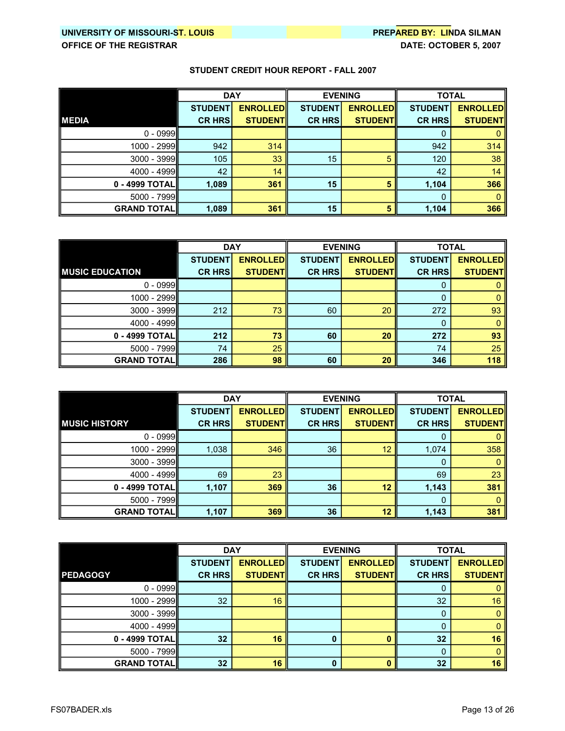|                    | <b>DAY</b>     |                 | <b>EVENING</b> |                 | <b>TOTAL</b>   |                 |
|--------------------|----------------|-----------------|----------------|-----------------|----------------|-----------------|
|                    | <b>STUDENT</b> | <b>ENROLLED</b> | <b>STUDENT</b> | <b>ENROLLED</b> | <b>STUDENT</b> | <b>ENROLLED</b> |
| <b>MEDIA</b>       | <b>CR HRS</b>  | <b>STUDENT</b>  | <b>CR HRS</b>  | <b>STUDENT</b>  | <b>CR HRS</b>  | <b>STUDENT</b>  |
| $0 - 0999$         |                |                 |                |                 | 0              |                 |
| 1000 - 2999        | 942            | 314             |                |                 | 942            | 314             |
| 3000 - 3999        | 105            | 33              | 15             | 5               | 120            | 38              |
| 4000 - 4999        | 42             | 14              |                |                 | 42             | 14              |
| 0 - 4999 TOTALI    | 1,089          | 361             | 15             | 5               | 1,104          | 366             |
| 5000 - 7999        |                |                 |                |                 | 0              |                 |
| <b>GRAND TOTAL</b> | 1,089          | 361             | 15             | 5               | 1,104          | 366             |

|                        | <b>DAY</b>     |                 | <b>EVENING</b> |                 | <b>TOTAL</b>   |                 |
|------------------------|----------------|-----------------|----------------|-----------------|----------------|-----------------|
|                        | <b>STUDENT</b> | <b>ENROLLED</b> | <b>STUDENT</b> | <b>ENROLLED</b> | <b>STUDENT</b> | <b>ENROLLED</b> |
| <b>MUSIC EDUCATION</b> | <b>CR HRS</b>  | <b>STUDENT</b>  | <b>CR HRS</b>  | <b>STUDENT</b>  | <b>CR HRS</b>  | <b>STUDENT</b>  |
| $0 - 0999$             |                |                 |                |                 | 0              |                 |
| 1000 - 2999            |                |                 |                |                 | 0              |                 |
| 3000 - 3999            | 212            | 73              | 60             | 20              | 272            | 93              |
| $4000 - 4999$          |                |                 |                |                 | 0              |                 |
| 0 - 4999 TOTAL         | 212            | 73              | 60             | 20              | 272            | 93              |
| $5000 - 7999$          | 74             | 25              |                |                 | 74             | 25              |
| <b>GRAND TOTAL  </b>   | 286            | 98              | 60             | 20              | 346            | 118             |

|                      | <b>DAY</b>     |                 | <b>EVENING</b> |                 | <b>TOTAL</b>   |                 |
|----------------------|----------------|-----------------|----------------|-----------------|----------------|-----------------|
|                      | <b>STUDENT</b> | <b>ENROLLED</b> | <b>STUDENT</b> | <b>ENROLLED</b> | <b>STUDENT</b> | <b>ENROLLED</b> |
| <b>MUSIC HISTORY</b> | <b>CR HRS</b>  | <b>STUDENT</b>  | <b>CR HRS</b>  | <b>STUDENT</b>  | <b>CR HRS</b>  | <b>STUDENT</b>  |
| $0 - 0999$           |                |                 |                |                 | Ü              |                 |
| 1000 - 2999          | 1,038          | 346             | 36             | 12              | 1,074          | 358             |
| 3000 - 3999          |                |                 |                |                 | 0              |                 |
| $4000 - 4999$        | 69             | 23              |                |                 | 69             | 23              |
| 0 - 4999 TOTAL       | 1,107          | 369             | 36             | 12              | 1,143          | 381             |
| 5000 - 7999          |                |                 |                |                 | $\Omega$       |                 |
| <b>GRAND TOTAL  </b> | 1,107          | 369             | 36             | 12              | 1,143          | 381             |

|                    | <b>DAY</b>     |                 |                | <b>EVENING</b>  | <b>TOTAL</b>   |                 |
|--------------------|----------------|-----------------|----------------|-----------------|----------------|-----------------|
|                    | <b>STUDENT</b> | <b>ENROLLED</b> | <b>STUDENT</b> | <b>ENROLLED</b> | <b>STUDENT</b> | <b>ENROLLED</b> |
| <b>PEDAGOGY</b>    | <b>CR HRS</b>  | <b>STUDENT</b>  | <b>CR HRS</b>  | <b>STUDENT</b>  | <b>CR HRS</b>  | <b>STUDENT</b>  |
| $0 - 0999$         |                |                 |                |                 | O              |                 |
| 1000 - 2999        | 32             | 16              |                |                 | 32             | 16              |
| $3000 - 3999$      |                |                 |                |                 | 0              |                 |
| 4000 - 4999        |                |                 |                |                 | 0              |                 |
| 0 - 4999 TOTAL     | 32             | 16              |                |                 | 32             | 16              |
| 5000 - 7999        |                |                 |                |                 | 0              |                 |
| <b>GRAND TOTAL</b> | 32             | 16              |                |                 | 32             | 16              |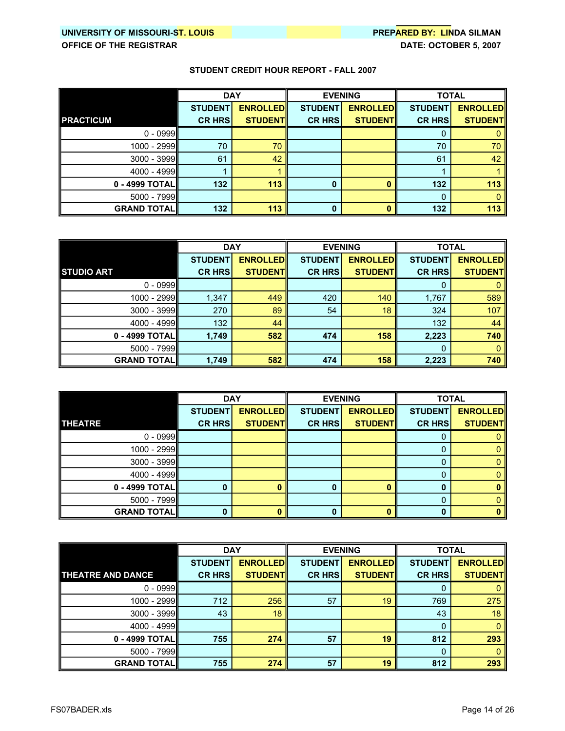|                    | <b>DAY</b>     |                 | <b>EVENING</b> |                 | <b>TOTAL</b>   |                 |
|--------------------|----------------|-----------------|----------------|-----------------|----------------|-----------------|
|                    | <b>STUDENT</b> | <b>ENROLLED</b> | <b>STUDENT</b> | <b>ENROLLED</b> | <b>STUDENT</b> | <b>ENROLLED</b> |
| <b>PRACTICUM</b>   | <b>CR HRS</b>  | <b>STUDENTI</b> | <b>CR HRS</b>  | <b>STUDENTI</b> | <b>CR HRS</b>  | <b>STUDENT</b>  |
| $0 - 0999$         |                |                 |                |                 | O              |                 |
| 1000 - 2999        | 70             | 70              |                |                 | 70             | 70              |
| $3000 - 3999$      | 61             | 42              |                |                 | 61             | 42              |
| 4000 - 4999        |                |                 |                |                 |                |                 |
| 0 - 4999 TOTAL     | 132            | 113             | n              |                 | 132            | 113             |
| 5000 - 7999        |                |                 |                |                 | 0              |                 |
| <b>GRAND TOTAL</b> | 132            | 113             | 0              |                 | 132            | 113             |

|                      | <b>DAY</b>     |                 | <b>EVENING</b> |                 | <b>TOTAL</b>   |                 |
|----------------------|----------------|-----------------|----------------|-----------------|----------------|-----------------|
|                      | <b>STUDENT</b> | <b>ENROLLED</b> | <b>STUDENT</b> | <b>ENROLLED</b> | <b>STUDENT</b> | <b>ENROLLED</b> |
| <b>STUDIO ART</b>    | <b>CR HRS</b>  | <b>STUDENTI</b> | <b>CR HRS</b>  | <b>STUDENT</b>  | <b>CR HRS</b>  | <b>STUDENT</b>  |
| $0 - 0999$           |                |                 |                |                 | 0              |                 |
| 1000 - 2999          | 1,347          | 449             | 420            | 140             | 1,767          | 589             |
| 3000 - 3999          | 270            | 89              | 54             | 18              | 324            | 107             |
| $4000 - 4999$        | 132            | 44              |                |                 | 132            | 44              |
| $0 - 4999$ TOTAL     | 1,749          | 582             | 474            | 158             | 2,223          | 740             |
| $5000 - 7999$        |                |                 |                |                 | 0              |                 |
| <b>GRAND TOTAL  </b> | 1,749          | 582             | 474            | 158             | 2,223          | 740             |

|                    | <b>DAY</b>     |                 | <b>EVENING</b> |                 | <b>TOTAL</b>   |                 |
|--------------------|----------------|-----------------|----------------|-----------------|----------------|-----------------|
|                    | <b>STUDENT</b> | <b>ENROLLED</b> | <b>STUDENT</b> | <b>ENROLLED</b> | <b>STUDENT</b> | <b>ENROLLED</b> |
| <b>THEATRE</b>     | <b>CR HRS</b>  | <b>STUDENT</b>  | <b>CR HRS</b>  | <b>STUDENTI</b> | <b>CR HRS</b>  | <b>STUDENT</b>  |
| $0 - 0999$         |                |                 |                |                 | υ              |                 |
| $1000 - 2999$      |                |                 |                |                 |                |                 |
| $3000 - 3999$      |                |                 |                |                 | 0              |                 |
| 4000 - 4999        |                |                 |                |                 |                |                 |
| $0 - 4999$ TOTAL   | n              |                 |                |                 | 0              |                 |
| $5000 - 7999$      |                |                 |                |                 | 0              |                 |
| <b>GRAND TOTAL</b> | $\Omega$       |                 |                |                 | o              |                 |

|                          | <b>DAY</b>     |                 | <b>EVENING</b> |                  | <b>TOTAL</b>   |                 |
|--------------------------|----------------|-----------------|----------------|------------------|----------------|-----------------|
|                          | <b>STUDENT</b> | <b>ENROLLED</b> | <b>STUDENT</b> | <b>ENROLLEDI</b> | <b>STUDENT</b> | <b>ENROLLED</b> |
| <b>THEATRE AND DANCE</b> | <b>CR HRS</b>  | <b>STUDENTI</b> | <b>CR HRS</b>  | <b>STUDENT</b>   | <b>CR HRS</b>  | <b>STUDENT</b>  |
| $0 - 0999$               |                |                 |                |                  | 0              |                 |
| 1000 - 2999              | 712            | 256             | 57             | 19               | 769            | 275             |
| $3000 - 3999$            | 43             | 18              |                |                  | 43             | 18              |
| $4000 - 4999$            |                |                 |                |                  | 0              |                 |
| 0 - 4999 TOTAL           | 755            | 274             | 57             | 19               | 812            | 293             |
| $5000 - 7999$            |                |                 |                |                  | 0              |                 |
| <b>GRAND TOTAL  </b>     | 755            | 274             | 57             | 19               | 812            | 293             |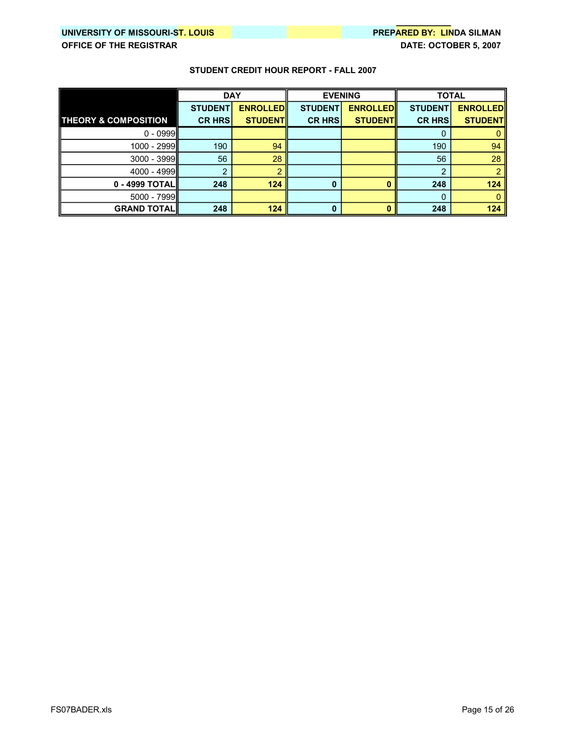|                                 | <b>DAY</b>     |                 | <b>EVENING</b> |                 | <b>TOTAL</b>   |                 |
|---------------------------------|----------------|-----------------|----------------|-----------------|----------------|-----------------|
|                                 | <b>STUDENT</b> | <b>ENROLLED</b> | <b>STUDENT</b> | <b>ENROLLED</b> | <b>STUDENT</b> | <b>ENROLLED</b> |
| <b>THEORY &amp; COMPOSITION</b> | <b>CR HRS</b>  | <b>STUDENT</b>  | <b>CR HRS</b>  | <b>STUDENT</b>  | <b>CR HRS</b>  | <b>STUDENT</b>  |
| $0 - 0999$                      |                |                 |                |                 | 0              |                 |
| $1000 - 2999$                   | 190            | 94              |                |                 | 190            | 94              |
| $3000 - 3999$                   | 56             | 28              |                |                 | 56             | 28              |
| 4000 - 4999                     | ີ              |                 |                |                 | っ              |                 |
| 0 - 4999 TOTAL                  | 248            | 124             | 0              |                 | 248            | 124             |
| $5000 - 7999$                   |                |                 |                |                 | 0              |                 |
| <b>GRAND TOTAL  </b>            | 248            | 124             | n              |                 | 248            | 124             |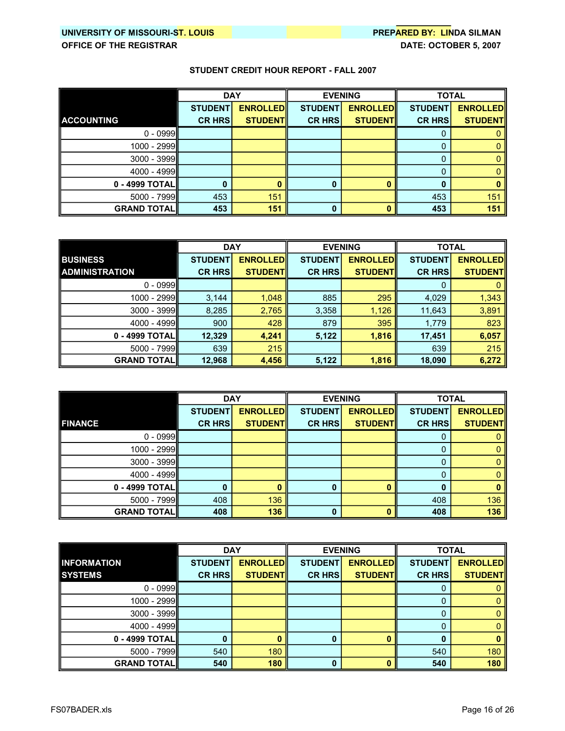|                    | <b>DAY</b>     |                 | <b>EVENING</b> |                 | <b>TOTAL</b>   |                 |
|--------------------|----------------|-----------------|----------------|-----------------|----------------|-----------------|
|                    | <b>STUDENT</b> | <b>ENROLLED</b> | <b>STUDENT</b> | <b>ENROLLED</b> | <b>STUDENT</b> | <b>ENROLLED</b> |
| <b>ACCOUNTING</b>  | <b>CR HRS</b>  | <b>STUDENTI</b> | <b>CR HRS</b>  | <b>STUDENT</b>  | <b>CR HRS</b>  | <b>STUDENT</b>  |
| $0 - 0999$         |                |                 |                |                 | O              |                 |
| 1000 - 2999        |                |                 |                |                 | 0              |                 |
| 3000 - 3999        |                |                 |                |                 | 0              |                 |
| 4000 - 4999        |                |                 |                |                 | 0              |                 |
| 0 - 4999 TOTAL     |                |                 |                |                 | 0              |                 |
| 5000 - 7999        | 453            | 151             |                |                 | 453            | 151             |
| <b>GRAND TOTAL</b> | 453            | 151             | 0              |                 | 453            | 151             |

|                       | <b>DAY</b>     |                 | <b>EVENING</b> |                 | <b>TOTAL</b>   |                 |
|-----------------------|----------------|-----------------|----------------|-----------------|----------------|-----------------|
| <b>BUSINESS</b>       | <b>STUDENT</b> | <b>ENROLLED</b> | <b>STUDENT</b> | <b>ENROLLED</b> | <b>STUDENT</b> | <b>ENROLLED</b> |
| <b>ADMINISTRATION</b> | <b>CR HRS</b>  | <b>STUDENTI</b> | <b>CR HRS</b>  | <b>STUDENTI</b> | <b>CR HRS</b>  | <b>STUDENT</b>  |
| $0 - 0999$            |                |                 |                |                 | 0              |                 |
| 1000 - 2999           | 3,144          | 1,048           | 885            | 295             | 4,029          | 1,343           |
| $3000 - 3999$         | 8,285          | 2,765           | 3,358          | 1,126           | 11,643         | 3,891           |
| $4000 - 4999$         | 900            | 428             | 879            | 395             | 1,779          | 823             |
| 0 - 4999 TOTALII      | 12,329         | 4,241           | 5,122          | 1,816           | 17,451         | 6,057           |
| $5000 - 7999$         | 639            | 215             |                |                 | 639            | 215             |
| <b>GRAND TOTALI</b>   | 12,968         | 4,456           | 5,122          | 1,816           | 18,090         | 6,272           |

|                     | <b>DAY</b>     |                 | <b>EVENING</b> |                 | <b>TOTAL</b>   |                 |
|---------------------|----------------|-----------------|----------------|-----------------|----------------|-----------------|
|                     | <b>STUDENT</b> | <b>ENROLLED</b> | <b>STUDENT</b> | <b>ENROLLED</b> | <b>STUDENT</b> | <b>ENROLLED</b> |
| <b>FINANCE</b>      | <b>CR HRS</b>  | <b>STUDENT</b>  | <b>CR HRS</b>  | <b>STUDENT</b>  | <b>CR HRS</b>  | <b>STUDENT</b>  |
| $0 - 0999$          |                |                 |                |                 | Ü              |                 |
| 1000 - 2999         |                |                 |                |                 | 0              |                 |
| $3000 - 3999$       |                |                 |                |                 | 0              |                 |
| $4000 - 4999$       |                |                 |                |                 |                |                 |
| 0 - 4999 TOTAL      | $\Omega$       |                 | O              |                 | 0              |                 |
| $5000 - 7999$       | 408            | 136             |                |                 | 408            | 136             |
| <b>GRAND TOTALI</b> | 408            | 136             | O              |                 | 408            | 136             |

|                    | <b>DAY</b>     |                 | <b>EVENING</b> |                  | <b>TOTAL</b>   |                 |
|--------------------|----------------|-----------------|----------------|------------------|----------------|-----------------|
| <b>INFORMATION</b> | <b>STUDENT</b> | <b>ENROLLED</b> | <b>STUDENT</b> | <b>ENROLLEDI</b> | <b>STUDENT</b> | <b>ENROLLED</b> |
| <b>SYSTEMS</b>     | <b>CR HRS</b>  | <b>STUDENTI</b> | <b>CR HRS</b>  | <b>STUDENT</b>   | <b>CR HRS</b>  | <b>STUDENT</b>  |
| $0 - 0999$         |                |                 |                |                  | O              |                 |
| 1000 - 2999        |                |                 |                |                  | 0              |                 |
| $3000 - 3999$      |                |                 |                |                  |                |                 |
| 4000 - 4999        |                |                 |                |                  |                |                 |
| $0 - 4999$ TOTAL   | 0              |                 |                |                  |                |                 |
| $5000 - 7999$      | 540            | 180             |                |                  | 540            | 180             |
| <b>GRAND TOTAL</b> | 540            | 180             |                |                  | 540            | 180             |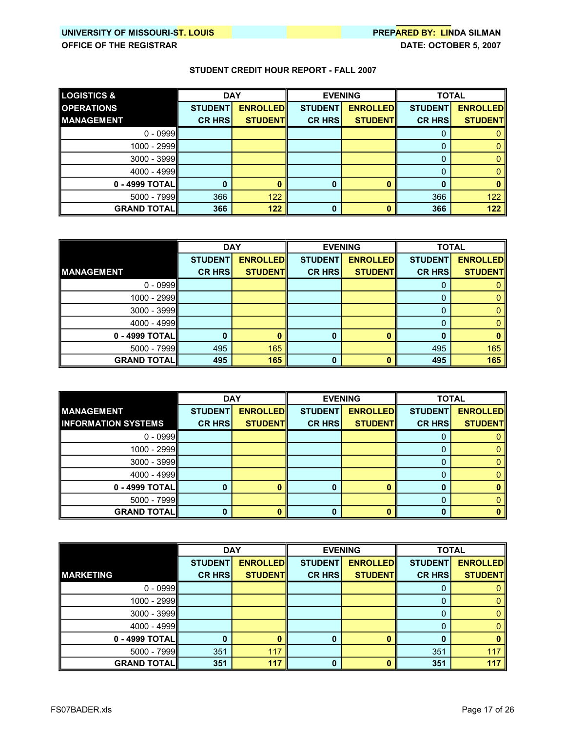| <b>LOGISTICS &amp;</b> | <b>DAY</b>     |                 |                | <b>EVENING</b>  |                | <b>TOTAL</b>     |
|------------------------|----------------|-----------------|----------------|-----------------|----------------|------------------|
| <b>OPERATIONS</b>      | <b>STUDENT</b> | <b>ENROLLED</b> | <b>STUDENT</b> | <b>ENROLLED</b> | <b>STUDENT</b> | <b>ENROLLEDI</b> |
| <b>MANAGEMENT</b>      | <b>CR HRS</b>  | <b>STUDENTI</b> | <b>CR HRSI</b> | <b>STUDENTI</b> | <b>CR HRS</b>  | <b>STUDENT</b>   |
| $0 - 0999$             |                |                 |                |                 | O              |                  |
| 1000 - 2999            |                |                 |                |                 |                |                  |
| 3000 - 3999            |                |                 |                |                 | 0              |                  |
| 4000 - 4999            |                |                 |                |                 | 0              |                  |
| 0 - 4999 TOTAL         |                |                 |                |                 | 0              |                  |
| $5000 - 7999$          | 366            | 122             |                |                 | 366            | 122              |
| <b>GRAND TOTALI</b>    | 366            | 122             |                |                 | 366            | 122              |

|                      | <b>DAY</b>     |                 | <b>EVENING</b> |                 | <b>TOTAL</b>   |                 |
|----------------------|----------------|-----------------|----------------|-----------------|----------------|-----------------|
|                      | <b>STUDENT</b> | <b>ENROLLED</b> | <b>STUDENT</b> | <b>ENROLLED</b> | <b>STUDENT</b> | <b>ENROLLED</b> |
| <b>MANAGEMENT</b>    | <b>CR HRS</b>  | <b>STUDENT</b>  | <b>CR HRS</b>  | <b>STUDENT</b>  | <b>CR HRS</b>  | <b>STUDENT</b>  |
| $0 - 0999$           |                |                 |                |                 | O              |                 |
| 1000 - 2999          |                |                 |                |                 | 0              |                 |
| $3000 - 3999$        |                |                 |                |                 | 0              |                 |
| 4000 - 4999          |                |                 |                |                 |                |                 |
| 0 - 4999 TOTAL       | 0              |                 |                |                 | 0              |                 |
| $5000 - 7999$        | 495            | 165             |                |                 | 495            | 165             |
| <b>GRAND TOTAL  </b> | 495            | 165             |                |                 | 495            | 165             |

|                            | <b>DAY</b>     |                 | <b>EVENING</b> |                 | <b>TOTAL</b>   |                 |
|----------------------------|----------------|-----------------|----------------|-----------------|----------------|-----------------|
| <b>MANAGEMENT</b>          | <b>STUDENT</b> | <b>ENROLLED</b> | <b>STUDENT</b> | <b>ENROLLED</b> | <b>STUDENT</b> | <b>ENROLLED</b> |
| <b>INFORMATION SYSTEMS</b> | <b>CR HRS</b>  | <b>STUDENTI</b> | <b>CR HRSI</b> | <b>STUDENT</b>  | <b>CR HRS</b>  | <b>STUDENT</b>  |
| $0 - 0999$                 |                |                 |                |                 | U              |                 |
| 1000 - 2999                |                |                 |                |                 |                |                 |
| $3000 - 3999$              |                |                 |                |                 | O              |                 |
| 4000 - 4999                |                |                 |                |                 |                |                 |
| 0 - 4999 TOTAL             |                |                 |                |                 | 0              |                 |
| $5000 - 7999$              |                |                 |                |                 | 0              |                 |
| <b>GRAND TOTALI</b>        | n              |                 |                |                 |                |                 |

|                    | <b>DAY</b>     |                 | <b>EVENING</b> |                 | <b>TOTAL</b>   |                 |
|--------------------|----------------|-----------------|----------------|-----------------|----------------|-----------------|
|                    | <b>STUDENT</b> | <b>ENROLLED</b> | <b>STUDENT</b> | <b>ENROLLED</b> | <b>STUDENT</b> | <b>ENROLLED</b> |
| <b>MARKETING</b>   | <b>CR HRS</b>  | <b>STUDENT</b>  | <b>CR HRS</b>  | <b>STUDENT</b>  | <b>CR HRS</b>  | <b>STUDENT</b>  |
| $0 - 0999$         |                |                 |                |                 | Ü              |                 |
| 1000 - 2999        |                |                 |                |                 | 0              |                 |
| $3000 - 3999$      |                |                 |                |                 | O              |                 |
| 4000 - 4999        |                |                 |                |                 |                |                 |
| 0 - 4999 TOTAL     | 0              |                 |                |                 |                |                 |
| 5000 - 7999        | 351            | 117             |                |                 | 351            | 117             |
| <b>GRAND TOTAL</b> | 351            | 117             |                |                 | 351            | 117             |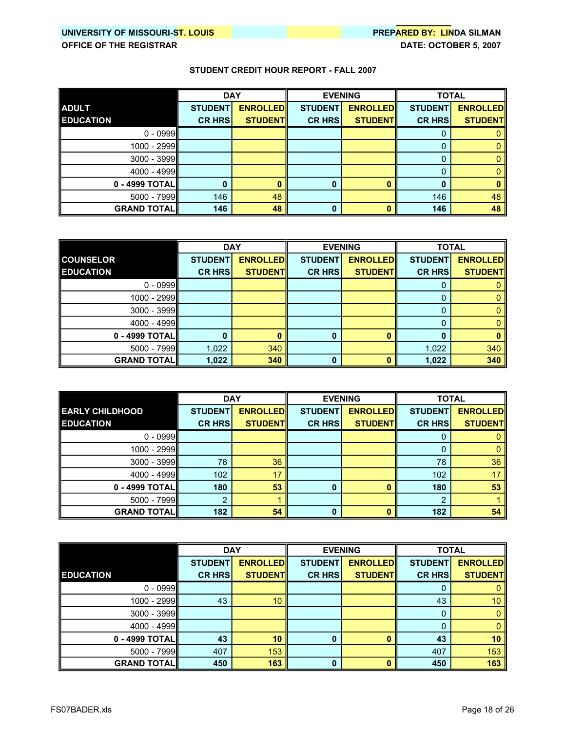|                    | <b>DAY</b>     |                 | <b>EVENING</b> |                 | <b>TOTAL</b>   |                 |
|--------------------|----------------|-----------------|----------------|-----------------|----------------|-----------------|
| <b>ADULT</b>       | <b>STUDENT</b> | <b>ENROLLED</b> | <b>STUDENT</b> | <b>ENROLLED</b> | <b>STUDENT</b> | <b>ENROLLED</b> |
| <b>EDUCATION</b>   | <b>CR HRS</b>  | <b>STUDENT</b>  | <b>CR HRS</b>  | <b>STUDENTI</b> | <b>CR HRS</b>  | <b>STUDENT</b>  |
| $0 - 0999$         |                |                 |                |                 | O              |                 |
| 1000 - 2999        |                |                 |                |                 | 0              |                 |
| 3000 - 3999        |                |                 |                |                 | 0              |                 |
| $4000 - 4999$      |                |                 |                |                 | 0              |                 |
| 0 - 4999 TOTAL     |                |                 | 0              |                 | 0              |                 |
| $5000 - 7999$      | 146            | 48              |                |                 | 146            | 48              |
| <b>GRAND TOTAL</b> | 146            | 48              | 0              |                 | 146            | 48              |

|                     | <b>DAY</b>     |                 |                | <b>EVENING</b>  | <b>TOTAL</b>   |                 |
|---------------------|----------------|-----------------|----------------|-----------------|----------------|-----------------|
| <b>COUNSELOR</b>    | <b>STUDENT</b> | <b>ENROLLED</b> | <b>STUDENT</b> | <b>ENROLLED</b> | <b>STUDENT</b> | <b>ENROLLED</b> |
| <b>EDUCATION</b>    | <b>CR HRS</b>  | <b>STUDENT</b>  | <b>CR HRS</b>  | <b>STUDENT</b>  | <b>CR HRS</b>  | <b>STUDENT</b>  |
| $0 - 0999$          |                |                 |                |                 |                |                 |
| 1000 - 2999         |                |                 |                |                 | 0              |                 |
| $3000 - 3999$       |                |                 |                |                 | 0              |                 |
| 4000 - 4999         |                |                 |                |                 | 0              |                 |
| 0 - 4999 TOTAL      | 0              |                 |                |                 | 0              |                 |
| 5000 - 7999         | 1,022          | 340             |                |                 | 1,022          | 340             |
| <b>GRAND TOTALI</b> | 1,022          | 340             |                |                 | 1,022          | 340             |

|                        | <b>DAY</b>     |                 | <b>EVENING</b> |                 | <b>TOTAL</b>   |                 |
|------------------------|----------------|-----------------|----------------|-----------------|----------------|-----------------|
| <b>EARLY CHILDHOOD</b> | <b>STUDENT</b> | <b>ENROLLED</b> | <b>STUDENT</b> | <b>ENROLLED</b> | <b>STUDENT</b> | <b>ENROLLED</b> |
| <b>EDUCATION</b>       | <b>CR HRSI</b> | <b>STUDENTI</b> | <b>CR HRS</b>  | <b>STUDENT</b>  | <b>CR HRS</b>  | <b>STUDENT</b>  |
| $0 - 0999$             |                |                 |                |                 | 0              |                 |
| 1000 - 2999            |                |                 |                |                 | 0              |                 |
| $3000 - 3999$          | 78             | 36              |                |                 | 78             | 36              |
| 4000 - 4999            | 102            | 17              |                |                 | 102            | 17              |
| 0 - 4999 TOTALI        | 180            | 53              | n              |                 | 180            | 53              |
| $5000 - 7999$          | ົ              |                 |                |                 | ົ              |                 |
| <b>GRAND TOTALI</b>    | 182            | 54              | n              |                 | 182            | 54              |

|                      | <b>DAY</b>     |                 |                | <b>EVENING</b>  | <b>TOTAL</b>   |                 |
|----------------------|----------------|-----------------|----------------|-----------------|----------------|-----------------|
|                      | <b>STUDENT</b> | <b>ENROLLED</b> | <b>STUDENT</b> | <b>ENROLLED</b> | <b>STUDENT</b> | <b>ENROLLED</b> |
| <b>EDUCATION</b>     | <b>CR HRS</b>  | <b>STUDENTI</b> | <b>CR HRS</b>  | <b>STUDENT</b>  | <b>CR HRS</b>  | <b>STUDENT</b>  |
| $0 - 0999$           |                |                 |                |                 | 0              |                 |
| 1000 - 2999          | 43             | 10              |                |                 | 43             | 10 <sup>1</sup> |
| $3000 - 3999$        |                |                 |                |                 | 0              |                 |
| 4000 - 4999          |                |                 |                |                 | 0              |                 |
| 0 - 4999 TOTAL       | 43             | 10              |                |                 | 43             | 10              |
| $5000 - 7999$        | 407            | 153             |                |                 | 407            | 153             |
| <b>GRAND TOTAL  </b> | 450            | 163             | n              |                 | 450            | 163             |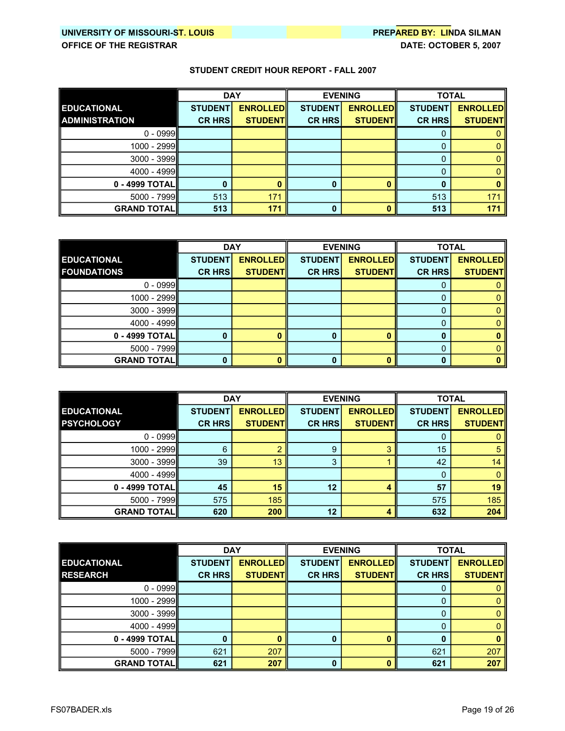|                       | <b>DAY</b>     |                 | <b>EVENING</b> |                 | <b>TOTAL</b>   |                 |
|-----------------------|----------------|-----------------|----------------|-----------------|----------------|-----------------|
| <b>EDUCATIONAL</b>    | <b>STUDENT</b> | <b>ENROLLED</b> | <b>STUDENT</b> | <b>ENROLLED</b> | <b>STUDENT</b> | <b>ENROLLED</b> |
| <b>ADMINISTRATION</b> | <b>CR HRS</b>  | <b>STUDENT</b>  | <b>CR HRS</b>  | <b>STUDENTI</b> | <b>CR HRS</b>  | <b>STUDENT</b>  |
| $0 - 0999$            |                |                 |                |                 | O              |                 |
| $1000 - 2999$         |                |                 |                |                 | 0              |                 |
| 3000 - 3999           |                |                 |                |                 | 0              |                 |
| 4000 - 4999           |                |                 |                |                 | 0              |                 |
| 0 - 4999 TOTAL        |                |                 | 0              |                 | 0              |                 |
| 5000 - 7999           | 513            | 171             |                |                 | 513            | 171             |
| <b>GRAND TOTAL</b>    | 513            | 171             | 0              |                 | 513            | 171             |

|                      | <b>DAY</b><br><b>EVENING</b> |                 | <b>TOTAL</b>   |                 |                |                 |
|----------------------|------------------------------|-----------------|----------------|-----------------|----------------|-----------------|
| <b>EDUCATIONAL</b>   | <b>STUDENT</b>               | <b>ENROLLED</b> | <b>STUDENT</b> | <b>ENROLLED</b> | <b>STUDENT</b> | <b>ENROLLED</b> |
| <b>FOUNDATIONS</b>   | <b>CR HRS</b>                | <b>STUDENT</b>  | <b>CR HRS</b>  | <b>STUDENT</b>  | <b>CR HRS</b>  | <b>STUDENT</b>  |
| $0 - 0999$           |                              |                 |                |                 |                |                 |
| 1000 - 2999          |                              |                 |                |                 |                |                 |
| $3000 - 3999$        |                              |                 |                |                 | O              |                 |
| 4000 - 4999          |                              |                 |                |                 |                |                 |
| $0 - 4999$ TOTAL     | 0                            |                 |                |                 |                |                 |
| $5000 - 7999$        |                              |                 |                |                 | 0              |                 |
| <b>GRAND TOTAL  </b> | 0                            |                 |                |                 |                |                 |

|                      | <b>DAY</b>     |                 | <b>EVENING</b> |                  | <b>TOTAL</b>   |                 |
|----------------------|----------------|-----------------|----------------|------------------|----------------|-----------------|
| <b>EDUCATIONAL</b>   | <b>STUDENT</b> | <b>ENROLLED</b> | <b>STUDENT</b> | <b>ENROLLEDI</b> | <b>STUDENT</b> | <b>ENROLLED</b> |
| <b>PSYCHOLOGY</b>    | <b>CR HRS</b>  | <b>STUDENTI</b> | <b>CR HRS</b>  | <b>STUDENT</b>   | <b>CR HRS</b>  | <b>STUDENT</b>  |
| $0 - 0999$           |                |                 |                |                  | 0              |                 |
| 1000 - 2999          | 6              |                 | 9              | ్ష               | 15             | 5               |
| $3000 - 3999$        | 39             | 13              | 3              |                  | 42             | 14              |
| 4000 - 4999          |                |                 |                |                  |                |                 |
| 0 - 4999 TOTAL       | 45             | 15              | 12             |                  | 57             | 19              |
| $5000 - 7999$        | 575            | 185             |                |                  | 575            | 185             |
| <b>GRAND TOTAL  </b> | 620            | 200             | 12             |                  | 632            | 204             |

|                    | <b>DAY</b>     |                 | <b>EVENING</b> |                  | <b>TOTAL</b>   |                 |
|--------------------|----------------|-----------------|----------------|------------------|----------------|-----------------|
| <b>EDUCATIONAL</b> | <b>STUDENT</b> | <b>ENROLLED</b> | <b>STUDENT</b> | <b>ENROLLEDI</b> | <b>STUDENT</b> | <b>ENROLLED</b> |
| <b>RESEARCH</b>    | <b>CR HRS</b>  | <b>STUDENTI</b> | <b>CR HRS</b>  | <b>STUDENT</b>   | <b>CR HRS</b>  | <b>STUDENT</b>  |
| $0 - 0999$         |                |                 |                |                  | Ü              |                 |
| 1000 - 2999        |                |                 |                |                  | 0              |                 |
| $3000 - 3999$      |                |                 |                |                  |                |                 |
| 4000 - 4999        |                |                 |                |                  |                |                 |
| $0 - 4999$ TOTAL   | 0              |                 |                |                  |                |                 |
| $5000 - 7999$      | 621            | 207             |                |                  | 621            | 207             |
| <b>GRAND TOTAL</b> | 621            | 207             |                |                  | 621            | 207             |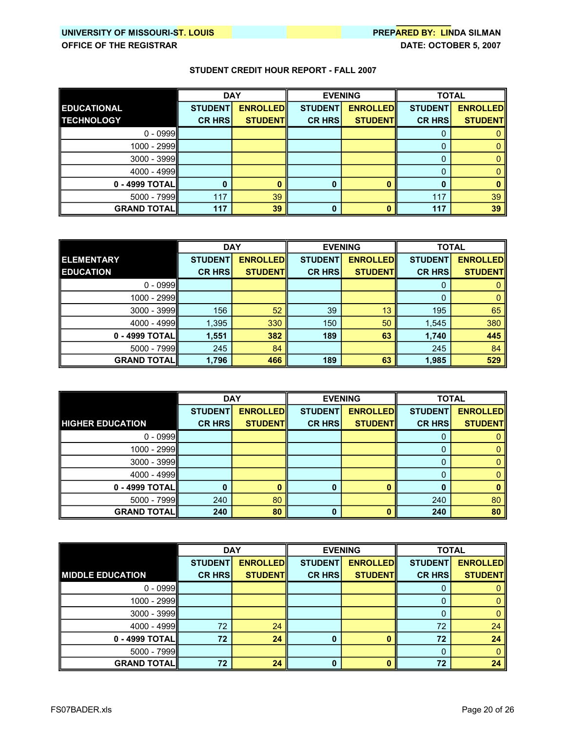|                    | <b>DAY</b>     |                 | <b>EVENING</b> |                 | <b>TOTAL</b>   |                 |
|--------------------|----------------|-----------------|----------------|-----------------|----------------|-----------------|
| <b>EDUCATIONAL</b> | <b>STUDENT</b> | <b>ENROLLED</b> | <b>STUDENT</b> | <b>ENROLLED</b> | <b>STUDENT</b> | <b>ENROLLED</b> |
| <b>TECHNOLOGY</b>  | <b>CR HRS</b>  | <b>STUDENTI</b> | <b>CR HRS</b>  | <b>STUDENTI</b> | <b>CR HRS</b>  | <b>STUDENT</b>  |
| $0 - 0999$         |                |                 |                |                 | O              |                 |
| 1000 - 2999        |                |                 |                |                 | 0              |                 |
| 3000 - 3999        |                |                 |                |                 | 0              |                 |
| 4000 - 4999        |                |                 |                |                 | 0              |                 |
| 0 - 4999 TOTAL     |                |                 |                |                 | 0              |                 |
| 5000 - 7999        | 117            | 39              |                |                 | 117            | 39              |
| <b>GRAND TOTAL</b> | 117            | 39              |                |                 | 117            | 39              |

|                     | <b>DAY</b>     |                 | <b>EVENING</b> |                  | <b>TOTAL</b>   |                 |
|---------------------|----------------|-----------------|----------------|------------------|----------------|-----------------|
| <b>ELEMENTARY</b>   | <b>STUDENT</b> | <b>ENROLLED</b> | <b>STUDENT</b> | <b>ENROLLEDI</b> | <b>STUDENT</b> | <b>ENROLLED</b> |
| <b>EDUCATION</b>    | <b>CR HRS</b>  | <b>STUDENTI</b> | <b>CR HRS</b>  | <b>STUDENT</b>   | <b>CR HRS</b>  | <b>STUDENT</b>  |
| $0 - 0999$          |                |                 |                |                  | 0              |                 |
| 1000 - 2999         |                |                 |                |                  | 0              |                 |
| $3000 - 3999$       | 156            | 52              | 39             | 13               | 195            | 65              |
| $4000 - 4999$       | 1,395          | 330             | 150            | 50               | 1,545          | 380             |
| 0 - 4999 TOTAL      | 1,551          | 382             | 189            | 63               | 1,740          | 445             |
| $5000 - 7999$       | 245            | 84              |                |                  | 245            | 84              |
| <b>GRAND TOTALI</b> | 1,796          | 466             | 189            | 63               | 1,985          | 529             |

|                         | <b>DAY</b>     |                 | <b>EVENING</b> |                 | <b>TOTAL</b>   |                 |
|-------------------------|----------------|-----------------|----------------|-----------------|----------------|-----------------|
|                         | <b>STUDENT</b> | <b>ENROLLED</b> | <b>STUDENT</b> | <b>ENROLLED</b> | <b>STUDENT</b> | <b>ENROLLED</b> |
| <b>HIGHER EDUCATION</b> | <b>CR HRS</b>  | <b>STUDENT</b>  | <b>CR HRS</b>  | <b>STUDENT</b>  | <b>CR HRS</b>  | <b>STUDENT</b>  |
| $0 - 0999$              |                |                 |                |                 | U              |                 |
| 1000 - 2999             |                |                 |                |                 | 0              |                 |
| $3000 - 3999$           |                |                 |                |                 | 0              |                 |
| $4000 - 4999$           |                |                 |                |                 |                |                 |
| 0 - 4999 TOTAL          | 0              |                 |                |                 | $\bf{0}$       |                 |
| $5000 - 7999$           | 240            | 80              |                |                 | 240            | 80              |
| <b>GRAND TOTAL  </b>    | 240            | 80              |                |                 | 240            | 80              |

|                         | <b>DAY</b>     |                 | <b>EVENING</b> |                 | <b>TOTAL</b>   |                 |
|-------------------------|----------------|-----------------|----------------|-----------------|----------------|-----------------|
|                         | <b>STUDENT</b> | <b>ENROLLED</b> | <b>STUDENT</b> | <b>ENROLLED</b> | <b>STUDENT</b> | <b>ENROLLED</b> |
| <b>MIDDLE EDUCATION</b> | <b>CR HRS</b>  | <b>STUDENT</b>  | <b>CR HRS</b>  | <b>STUDENT</b>  | <b>CR HRS</b>  | <b>STUDENT</b>  |
| $0 - 0999$              |                |                 |                |                 | Ü              |                 |
| 1000 - 2999             |                |                 |                |                 | 0              |                 |
| $3000 - 3999$           |                |                 |                |                 | 0              |                 |
| 4000 - 4999             | 72             | 24              |                |                 | 72             | 24              |
| $0 - 4999$ TOTAL        | 72             | 24              |                |                 | 72             | 24              |
| $5000 - 7999$           |                |                 |                |                 | 0              |                 |
| <b>GRAND TOTAL  </b>    | 72             | 24              | n              |                 | 72             | 24              |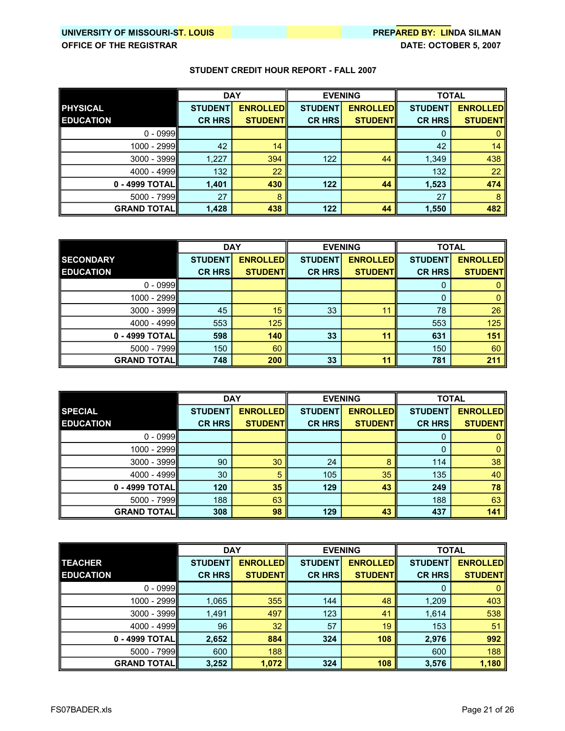|                    | <b>DAY</b>     |                 | <b>EVENING</b> |                 | <b>TOTAL</b>   |                 |
|--------------------|----------------|-----------------|----------------|-----------------|----------------|-----------------|
| <b>PHYSICAL</b>    | <b>STUDENT</b> | <b>ENROLLED</b> | <b>STUDENT</b> | <b>ENROLLED</b> | <b>STUDENT</b> | <b>ENROLLED</b> |
| <b>EDUCATION</b>   | <b>CR HRS</b>  | <b>STUDENTI</b> | <b>CR HRS</b>  | <b>STUDENT</b>  | <b>CR HRS</b>  | <b>STUDENT</b>  |
| $0 - 0999$         |                |                 |                |                 |                |                 |
| 1000 - 2999        | 42             | 14              |                |                 | 42             | 14              |
| $3000 - 3999$      | 1,227          | 394             | 122            | 44              | 1,349          | 438             |
| $4000 - 4999$      | 132            | 22              |                |                 | 132            | 22              |
| 0 - 4999 TOTALI    | 1,401          | 430             | 122            | 44              | 1,523          | 474             |
| 5000 - 7999        | 27             | 8               |                |                 | 27             | 8               |
| <b>GRAND TOTAL</b> | 1,428          | 438             | 122            | 44              | 1,550          | 482             |

|                    |                | <b>DAY</b><br><b>EVENING</b> |                | <b>TOTAL</b>    |                |                 |
|--------------------|----------------|------------------------------|----------------|-----------------|----------------|-----------------|
| <b>SECONDARY</b>   | <b>STUDENT</b> | <b>ENROLLEDI</b>             | <b>STUDENT</b> | <b>ENROLLED</b> | <b>STUDENT</b> | <b>ENROLLED</b> |
| <b>EDUCATION</b>   | <b>CR HRS</b>  | <b>STUDENT</b>               | <b>CR HRS</b>  | <b>STUDENT</b>  | <b>CR HRS</b>  | <b>STUDENT</b>  |
| $0 - 0999$         |                |                              |                |                 | 0              |                 |
| 1000 - 2999        |                |                              |                |                 | 0              |                 |
| $3000 - 3999$      | 45             | 15                           | 33             |                 | 78             | 26              |
| 4000 - 4999        | 553            | 125                          |                |                 | 553            | 125             |
| $0 - 4999$ TOTAL   | 598            | 140                          | 33             | 11              | 631            | 151             |
| $5000 - 7999$      | 150            | 60                           |                |                 | 150            | 60              |
| <b>GRAND TOTAL</b> | 748            | 200                          | 33             | 11              | 781            | 211             |

|                      | <b>DAY</b>     |                 |                | <b>EVENING</b>  | <b>TOTAL</b>   |                 |
|----------------------|----------------|-----------------|----------------|-----------------|----------------|-----------------|
| <b>SPECIAL</b>       | <b>STUDENT</b> | <b>ENROLLED</b> | <b>STUDENT</b> | <b>ENROLLED</b> | <b>STUDENT</b> | <b>ENROLLED</b> |
| <b>EDUCATION</b>     | <b>CR HRS</b>  | <b>STUDENTI</b> | <b>CR HRS</b>  | <b>STUDENT</b>  | <b>CR HRS</b>  | <b>STUDENT</b>  |
| $0 - 0999$           |                |                 |                |                 | 0              |                 |
| 1000 - 2999          |                |                 |                |                 | 0              |                 |
| $3000 - 3999$        | 90             | 30              | 24             | 8               | 114            | 38              |
| $4000 - 4999$        | 30             | 5               | 105            | 35              | 135            | 40              |
| 0 - 4999 TOTALII     | 120            | 35              | 129            | 43              | 249            | 78              |
| $5000 - 7999$        | 188            | 63              |                |                 | 188            | 63              |
| <b>GRAND TOTAL  </b> | 308            | 98              | 129            | 43              | 437            | 141             |

|                      | <b>DAY</b>     |                 | <b>EVENING</b> |                 | <b>TOTAL</b>   |                  |
|----------------------|----------------|-----------------|----------------|-----------------|----------------|------------------|
| <b>TEACHER</b>       | <b>STUDENT</b> | <b>ENROLLED</b> | <b>STUDENT</b> | <b>ENROLLED</b> | <b>STUDENT</b> | <b>ENROLLEDI</b> |
| <b>EDUCATION</b>     | <b>CR HRS</b>  | <b>STUDENTI</b> | <b>CR HRS</b>  | <b>STUDENT</b>  | <b>CR HRS</b>  | <b>STUDENT</b>   |
| $0 - 0999$           |                |                 |                |                 | 0              |                  |
| 1000 - 2999          | 1,065          | 355             | 144            | 48              | 1,209          | 403              |
| $3000 - 3999$        | 1,491          | 497             | 123            | 41              | 1,614          | 538              |
| $4000 - 4999$        | 96             | 32              | 57             | 19              | 153            | 51               |
| 0 - 4999 TOTALII     | 2,652          | 884             | 324            | 108             | 2,976          | 992              |
| $5000 - 7999$        | 600            | 188             |                |                 | 600            | 188              |
| <b>GRAND TOTAL  </b> | 3,252          | 1,072           | 324            | 108             | 3,576          | 1,180            |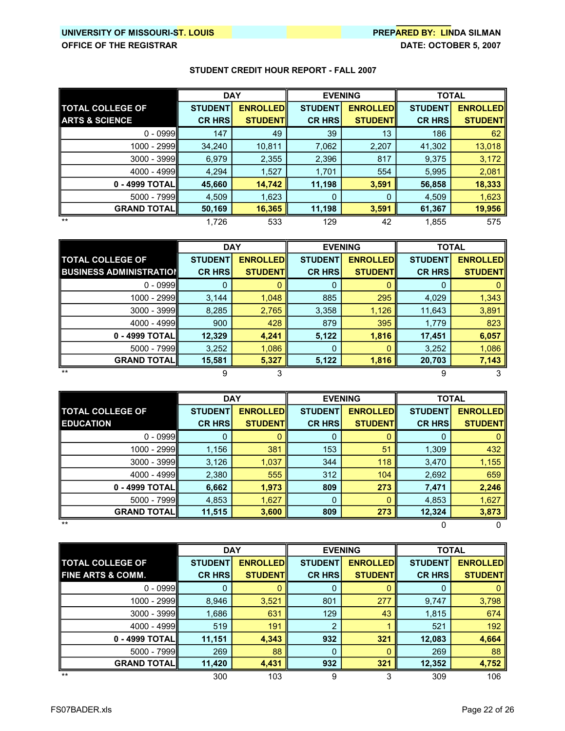# **UNIVERSITY OF MISSOURIST. LOUIS PREPARED BY: LINDA SILMAN**

|                           | <b>DAY</b>     |                 | <b>EVENING</b> |                 | <b>TOTAL</b>   |                 |
|---------------------------|----------------|-----------------|----------------|-----------------|----------------|-----------------|
| <b>TOTAL COLLEGE OF</b>   | <b>STUDENT</b> | <b>ENROLLED</b> | <b>STUDENT</b> | <b>ENROLLED</b> | <b>STUDENT</b> | <b>ENROLLED</b> |
| <b>ARTS &amp; SCIENCE</b> | <b>CR HRS</b>  | <b>STUDENTI</b> | <b>CR HRS</b>  | <b>STUDENTI</b> | <b>CR HRS</b>  | <b>STUDENT</b>  |
| $0 - 0999$                | 147            | 49              | 39             | 13              | 186            | 62              |
| 1000 - 2999               | 34,240         | 10,811          | 7,062          | 2,207           | 41,302         | 13,018          |
| $3000 - 3999$             | 6,979          | 2,355           | 2,396          | 817             | 9,375          | 3,172           |
| $4000 - 4999$             | 4,294          | 1,527           | 1,701          | 554             | 5,995          | 2,081           |
| 0 - 4999 TOTALII          | 45,660         | 14,742          | 11,198         | 3,591           | 56,858         | 18,333          |
| $5000 - 7999$             | 4,509          | 1,623           | 0              | 0               | 4,509          | 1,623           |
| <b>GRAND TOTAL</b>        | 50,169         | 16,365          | 11,198         | 3,591           | 61,367         | 19,956          |
| $***$                     | 1,726          | 533             | 129            | 42              | 1,855          | 575             |

|                                | <b>DAY</b>     |                 | <b>EVENING</b> |                 | <b>TOTAL</b>   |                 |
|--------------------------------|----------------|-----------------|----------------|-----------------|----------------|-----------------|
| <b>TOTAL COLLEGE OF</b>        | <b>STUDENT</b> | <b>ENROLLED</b> | <b>STUDENT</b> | <b>ENROLLED</b> | <b>STUDENT</b> | <b>ENROLLED</b> |
| <b>BUSINESS ADMINISTRATION</b> | <b>CR HRSI</b> | <b>STUDENTI</b> | <b>CR HRS</b>  | <b>STUDENT</b>  | <b>CR HRS</b>  | <b>STUDENT</b>  |
| $0 - 0999$                     | 0              |                 | 0              |                 | 0              |                 |
| 1000 - 2999                    | 3,144          | 1,048           | 885            | 295             | 4,029          | 1,343           |
| 3000 - 3999                    | 8,285          | 2,765           | 3,358          | 1,126           | 11,643         | 3,891           |
| 4000 - 4999                    | 900            | 428             | 879            | 395             | 1,779          | 823             |
| 0 - 4999 TOTAL                 | 12,329         | 4,241           | 5,122          | 1,816           | 17,451         | 6,057           |
| $5000 - 7999$                  | 3,252          | 1,086           | 0              |                 | 3,252          | 1,086           |
| <b>GRAND TOTALI</b>            | 15,581         | 5,327           | 5,122          | 1,816           | 20,703         | 7,143           |
| $***$                          |                |                 |                |                 | 9              |                 |

|                                             |                                 | <b>DAY</b><br><b>EVENING</b>       |                                 | <b>TOTAL</b>                        |                                 |                                   |
|---------------------------------------------|---------------------------------|------------------------------------|---------------------------------|-------------------------------------|---------------------------------|-----------------------------------|
| <b>TOTAL COLLEGE OF</b><br><b>EDUCATION</b> | <b>STUDENT</b><br><b>CR HRS</b> | <b>ENROLLED</b><br><b>STUDENTI</b> | <b>STUDENT</b><br><b>CR HRS</b> | <b>ENROLLEDI</b><br><b>STUDENTI</b> | <b>STUDENT</b><br><b>CR HRS</b> | <b>ENROLLED</b><br><b>STUDENT</b> |
| $0 - 0999$                                  | 0                               |                                    | 0                               |                                     | 0                               |                                   |
| 1000 - 2999II                               | 1,156                           | 381                                | 153                             | 51                                  | 1,309                           | 432                               |
| $3000 - 3999$                               | 3,126                           | 1,037                              | 344                             | 118                                 | 3,470                           | 1,155                             |
| $4000 - 4999$                               | 2,380                           | 555                                | 312                             | 104                                 | 2,692                           | 659                               |
| 0 - 4999 TOTALII                            | 6,662                           | 1,973                              | 809                             | 273                                 | 7,471                           | 2,246                             |
| $5000 - 7999$                               | 4,853                           | 1,627                              | $\mathbf{0}$                    | 0                                   | 4,853                           | 1,627                             |
| <b>GRAND TOTALI</b>                         | 11,515                          | 3,600                              | 809                             | 273                                 | 12,324                          | 3,873                             |
| $***$                                       |                                 |                                    |                                 |                                     |                                 |                                   |

|                         | <b>DAY</b>     |                 | <b>EVENING</b> |                 | <b>TOTAL</b>   |                 |
|-------------------------|----------------|-----------------|----------------|-----------------|----------------|-----------------|
| <b>TOTAL COLLEGE OF</b> | <b>STUDENT</b> | <b>ENROLLED</b> | <b>STUDENT</b> | <b>ENROLLED</b> | <b>STUDENT</b> | <b>ENROLLED</b> |
| FINE ARTS & COMM.       | <b>CR HRS</b>  | <b>STUDENTI</b> | <b>CR HRS</b>  | <b>STUDENTI</b> | <b>CR HRS</b>  | <b>STUDENT</b>  |
| $0 - 0999$              | 0              |                 | 0              |                 | 0              |                 |
| 1000 - 2999             | 8,946          | 3,521           | 801            | 277             | 9,747          | 3,798           |
| $3000 - 3999$           | 1,686          | 631             | 129            | 43              | 1,815          | 674             |
| $4000 - 4999$           | 519            | 191             | 2              |                 | 521            | 192             |
| 0 - 4999 TOTALI         | 11,151         | 4,343           | 932            | 321             | 12,083         | 4,664           |
| $5000 - 7999$           | 269            | 88              | 0              |                 | 269            | 88              |
| <b>GRAND TOTAL</b>      | 11,420         | 4,431           | 932            | 321             | 12,352         | 4,752           |
| $***$                   | 300            | 103             | 9              |                 | 309            | 106             |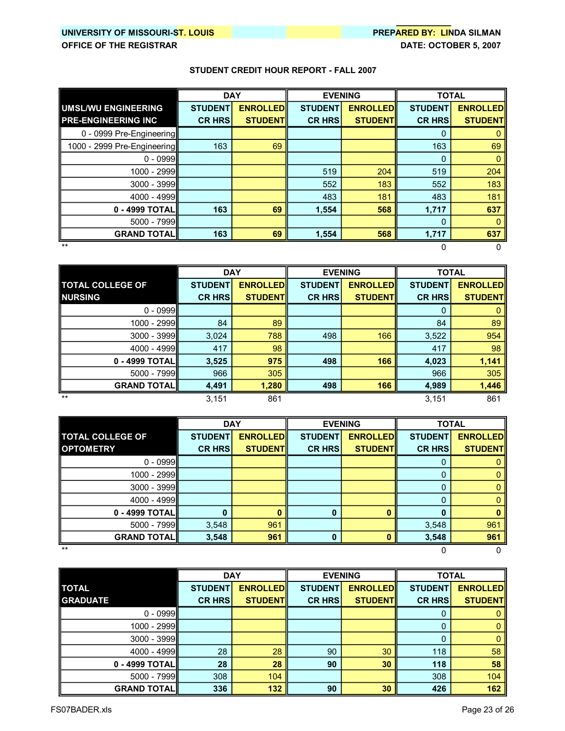# **UNIVERSITY OF MISSOURIST. LOUIS PREPARED BY: LINDA SILMAN**

**OFFICE OF THE REGISTRAR DATE: OCTOBER 5, 2007** 

|                             | <b>DAY</b>     |                 | <b>EVENING</b> |                 | <b>TOTAL</b>   |                 |
|-----------------------------|----------------|-----------------|----------------|-----------------|----------------|-----------------|
| UMSL/WU ENGINEERING         | <b>STUDENT</b> | <b>ENROLLED</b> | <b>STUDENT</b> | <b>ENROLLED</b> | <b>STUDENT</b> | <b>ENROLLED</b> |
| <b>PRE-ENGINEERING INC</b>  | <b>CR HRS</b>  | <b>STUDENTI</b> | <b>CR HRS</b>  | <b>STUDENT</b>  | <b>CR HRS</b>  | <b>STUDENT</b>  |
| 0 - 0999 Pre-Engineering    |                |                 |                |                 | 0              |                 |
| 1000 - 2999 Pre-Engineering | 163            | 69              |                |                 | 163            | 69              |
| $0 - 0999$                  |                |                 |                |                 | $\Omega$       | $\Omega$        |
| 1000 - 2999                 |                |                 | 519            | 204             | 519            | 204             |
| $3000 - 3999$               |                |                 | 552            | 183             | 552            | 183             |
| 4000 - 4999                 |                |                 | 483            | 181             | 483            | 181             |
| 0 - 4999 TOTAL              | 163            | 69              | 1,554          | 568             | 1,717          | 637             |
| $5000 - 7999$               |                |                 |                |                 | 0              |                 |
| <b>GRAND TOTALI</b>         | 163            | 69              | 1,554          | 568             | 1,717          | 637             |
| $***$                       |                |                 |                |                 |                |                 |

|                         | <b>EVENING</b><br><b>DAY</b> |                 |                | <b>TOTAL</b>    |                |                 |
|-------------------------|------------------------------|-----------------|----------------|-----------------|----------------|-----------------|
| <b>TOTAL COLLEGE OF</b> | <b>STUDENT</b>               | <b>ENROLLED</b> | <b>STUDENT</b> | <b>ENROLLED</b> | <b>STUDENT</b> | <b>ENROLLED</b> |
| <b>NURSING</b>          | <b>CR HRS</b>                | <b>STUDENT</b>  | <b>CR HRS</b>  | <b>STUDENTI</b> | <b>CR HRS</b>  | <b>STUDENT</b>  |
| $0 - 0999$              |                              |                 |                |                 | 0              |                 |
| 1000 - 2999             | 84                           | 89              |                |                 | 84             | 89              |
| $3000 - 3999$           | 3,024                        | 788             | 498            | 166             | 3,522          | 954             |
| 4000 - 4999             | 417                          | 98              |                |                 | 417            | 98              |
| 0 - 4999 TOTALII        | 3,525                        | 975             | 498            | 166             | 4,023          | 1,141           |
| $5000 - 7999$           | 966                          | 305             |                |                 | 966            | 305             |
| <b>GRAND TOTAL  </b>    | 4,491                        | 1,280           | 498            | 166             | 4,989          | 1,446           |
| $***$                   | 3,151                        | 861             |                |                 | 3,151          | 861             |

|                         | <b>DAY</b>     |                 | <b>EVENING</b> |                 | <b>TOTAL</b>   |                 |
|-------------------------|----------------|-----------------|----------------|-----------------|----------------|-----------------|
| <b>TOTAL COLLEGE OF</b> | <b>STUDENT</b> | <b>ENROLLED</b> | <b>STUDENT</b> | <b>ENROLLED</b> | <b>STUDENT</b> | <b>ENROLLED</b> |
| <b>OPTOMETRY</b>        | <b>CR HRS</b>  | <b>STUDENT</b>  | <b>CR HRS</b>  | <b>STUDENT</b>  | <b>CR HRS</b>  | <b>STUDENT</b>  |
| $0 - 0999$              |                |                 |                |                 |                |                 |
| 1000 - 2999             |                |                 |                |                 | 0              |                 |
| 3000 - 3999             |                |                 |                |                 | 0              |                 |
| $4000 - 4999$           |                |                 |                |                 | 0              |                 |
| 0 - 4999 TOTAL          | 0              |                 | n              |                 | O              |                 |
| 5000 - 7999             | 3,548          | 961             |                |                 | 3,548          | 961             |
| <b>GRAND TOTAL</b>      | 3,548          | 961             |                |                 | 3,548          | 961             |
| $***$                   |                |                 |                |                 |                |                 |

|                     | <b>DAY</b>     |                 | <b>EVENING</b> |                 | <b>TOTAL</b>   |                 |
|---------------------|----------------|-----------------|----------------|-----------------|----------------|-----------------|
| <b>TOTAL</b>        | <b>STUDENT</b> | <b>ENROLLED</b> | <b>STUDENT</b> | <b>ENROLLED</b> | <b>STUDENT</b> | <b>ENROLLED</b> |
| <b>GRADUATE</b>     | <b>CR HRS</b>  | <b>STUDENTI</b> | <b>CR HRS</b>  | <b>STUDENT</b>  | <b>CR HRS</b>  | <b>STUDENT</b>  |
| $0 - 0999$          |                |                 |                |                 | 0              |                 |
| 1000 - 2999         |                |                 |                |                 | 0              |                 |
| $3000 - 3999$       |                |                 |                |                 | 0              |                 |
| 4000 - 4999         | 28             | 28              | 90             | 30              | 118            | 58              |
| 0 - 4999 TOTAL      | 28             | 28              | 90             | 30              | 118            | 58              |
| $5000 - 7999$       | 308            | 104             |                |                 | 308            | 104             |
| <b>GRAND TOTALI</b> | 336            | 132             | 90             | 30              | 426            | 162             |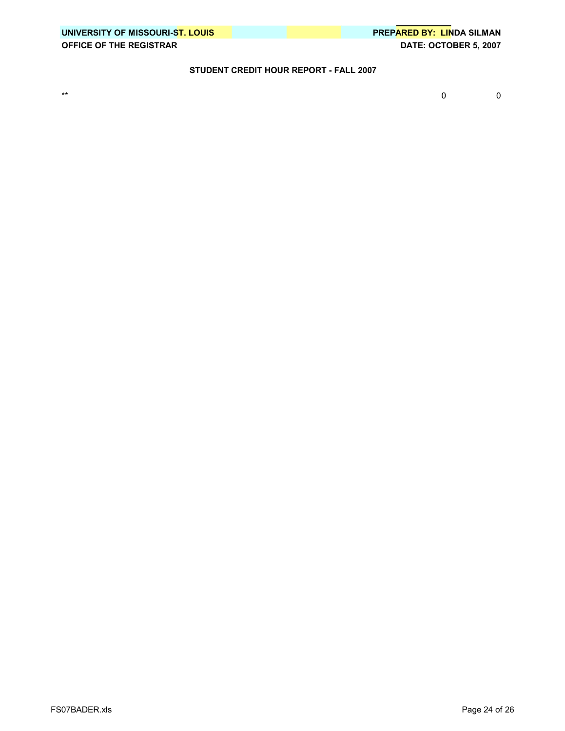|                                | UNIVERSITY OF MISSOURI-ST. LOUIS |
|--------------------------------|----------------------------------|
| <b>OFFICE OF THE REGISTRAR</b> |                                  |

\*\* 0 0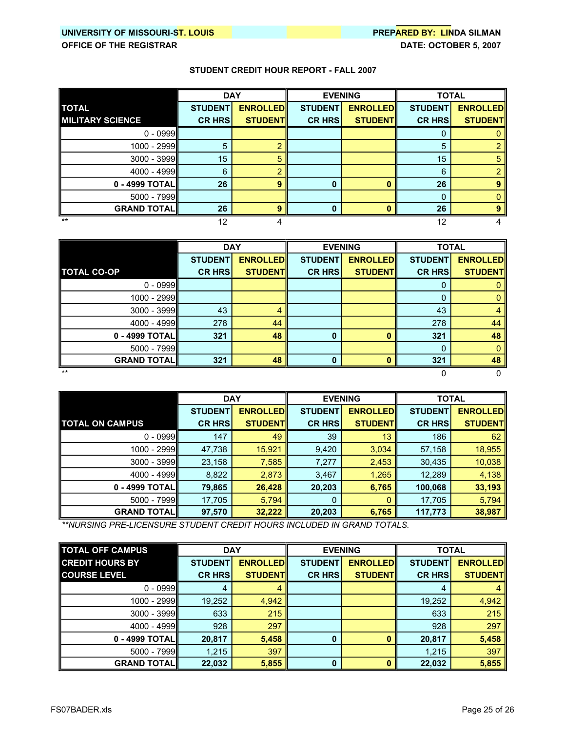# **UNIVERSITY OF MISSOURIST. LOUIS PREPARED BY: LINDA SILMAN**

#### **STUDENT CREDIT HOUR REPORT FALL 2007**

|                         | <b>DAY</b>     |                 | <b>EVENING</b> |                 | <b>TOTAL</b>   |                 |
|-------------------------|----------------|-----------------|----------------|-----------------|----------------|-----------------|
| <b>TOTAL</b>            | <b>STUDENT</b> | <b>ENROLLED</b> | <b>STUDENT</b> | <b>ENROLLED</b> | <b>STUDENT</b> | <b>ENROLLED</b> |
| <b>MILITARY SCIENCE</b> | <b>CR HRS</b>  | <b>STUDENT</b>  | <b>CR HRS</b>  | <b>STUDENT</b>  | <b>CR HRS</b>  | <b>STUDENT</b>  |
| $0 - 0999$              |                |                 |                |                 |                |                 |
| 1000 - 2999             | 5              |                 |                |                 | 5              |                 |
| 3000 - 3999             | 15             | 5               |                |                 | 15             | 5               |
| 4000 - 4999             | 6              |                 |                |                 | 6              |                 |
| 0 - 4999 TOTAL          | 26             | 9               | O              |                 | 26             |                 |
| 5000 - 7999             |                |                 |                |                 | 0              |                 |
| <b>GRAND TOTAL</b>      | 26             |                 |                |                 | 26             |                 |
| $***$                   | 12             |                 |                |                 |                |                 |

|                      | <b>DAY</b>     |                 |                | <b>EVENING</b>  | <b>TOTAL</b>   |                 |
|----------------------|----------------|-----------------|----------------|-----------------|----------------|-----------------|
|                      | <b>STUDENT</b> | <b>ENROLLED</b> | <b>STUDENT</b> | <b>ENROLLED</b> | <b>STUDENT</b> | <b>ENROLLED</b> |
| <b>TOTAL CO-OP</b>   | <b>CR HRS</b>  | <b>STUDENTI</b> | <b>CR HRS</b>  | <b>STUDENT</b>  | <b>CR HRS</b>  | <b>STUDENT</b>  |
| $0 - 0999$           |                |                 |                |                 | O              |                 |
| $1000 - 2999$        |                |                 |                |                 | 0              |                 |
| $3000 - 3999$        | 43             | 4               |                |                 | 43             |                 |
| $4000 - 4999$        | 278            | 44              |                |                 | 278            | 44              |
| 0 - 4999 TOTAL       | 321            | 48              | 0              |                 | 321            | 48              |
| $5000 - 7999$        |                |                 |                |                 | 0              |                 |
| <b>GRAND TOTAL  </b> | 321            | 48              |                |                 | 321            | 48              |
| $***$                |                |                 |                |                 |                |                 |

**STUDENT ENROLLED STUDENT ENROLLED STUDENT ENROLLED TOTAL ON CAMPUS CR HRS STUDENT CR HRS STUDENT CR HRS STUDENT** 0 - 0999|| 147 | 49 || 39 | 13 || 186 | 62 || 1000 2999 47,738 15,921 9,420 3,034 57,158 18,955 3000 3999 23,158 7,585 7,277 2,453 30,435 10,038 4000 - 4999**||** 8,822 <mark>| 2,873 |</mark> 3,467 <mark>| 1,265 |</mark> 12,289 <mark>| 4,138</mark> | **0 4999 TOTAL 79,865 26,428 20,203 6,765 100,068 33,193** 5000 7999 17,705 5,794 0 0 17,705 5,794 **GRAND TOTAL 97,570 32,222 20,203 6,765 117,773 38,987 DAY EVENING TOTAL** 

*\*\*NURSING PRELICENSURE STUDENT CREDIT HOURS INCLUDED IN GRAND TOTALS.*

| <b>TOTAL OFF CAMPUS</b> | <b>DAY</b>     |                 | <b>EVENING</b> |                  | <b>TOTAL</b>   |                 |
|-------------------------|----------------|-----------------|----------------|------------------|----------------|-----------------|
| <b>CREDIT HOURS BY</b>  | <b>STUDENT</b> | <b>ENROLLED</b> | <b>STUDENT</b> | <b>ENROLLEDI</b> | <b>STUDENT</b> | <b>ENROLLED</b> |
| <b>COURSE LEVEL</b>     | <b>CR HRS</b>  | <b>STUDENTI</b> | <b>CR HRS</b>  | <b>STUDENTI</b>  | <b>CR HRS</b>  | <b>STUDENT</b>  |
| $0 - 0999$              | 4              | 4               |                |                  | 4              |                 |
| 1000 - 2999             | 19,252         | 4,942           |                |                  | 19,252         | 4,942           |
| $3000 - 3999$           | 633            | 215             |                |                  | 633            | 215             |
| $4000 - 4999$           | 928            | 297             |                |                  | 928            | 297             |
| 0 - 4999 TOTALII        | 20,817         | 5,458           | 0              | Ω                | 20,817         | 5,458           |
| $5000 - 7999$           | 1,215          | 397             |                |                  | 1,215          | 397             |
| <b>GRAND TOTALI</b>     | 22,032         | 5,855           | $\bf{0}$       |                  | 22,032         | 5,855           |